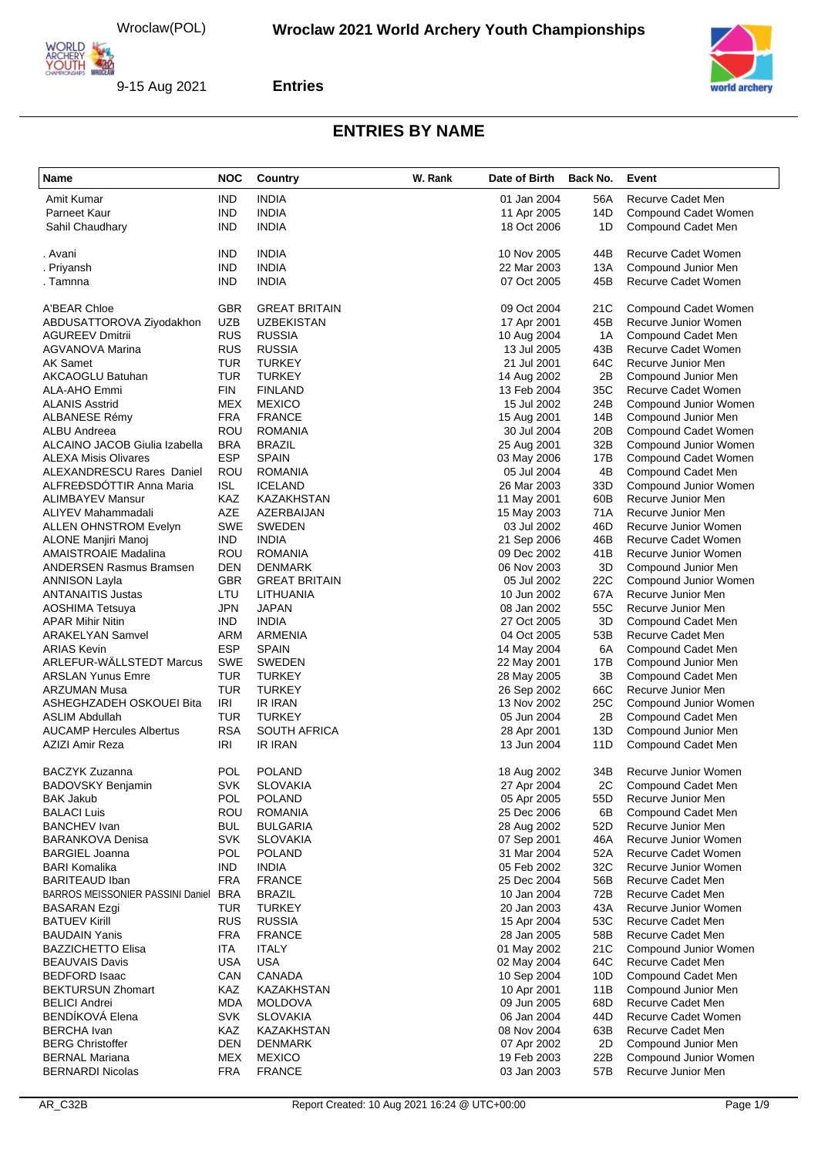

#### **Entries**

| Name                                                         | <b>NOC</b>               | Country                         | W. Rank | Date of Birth              | Back No.   | Event                                            |
|--------------------------------------------------------------|--------------------------|---------------------------------|---------|----------------------------|------------|--------------------------------------------------|
| Amit Kumar                                                   | <b>IND</b>               | <b>INDIA</b>                    |         | 01 Jan 2004                | 56A        | Recurve Cadet Men                                |
| Parneet Kaur                                                 | <b>IND</b>               | <b>INDIA</b>                    |         | 11 Apr 2005                | 14D        | Compound Cadet Women                             |
| Sahil Chaudhary                                              | <b>IND</b>               | <b>INDIA</b>                    |         | 18 Oct 2006                | 1D         | Compound Cadet Men                               |
| . Avani                                                      | IND                      | <b>INDIA</b>                    |         | 10 Nov 2005                | 44B        | Recurve Cadet Women                              |
| . Priyansh                                                   | <b>IND</b>               | <b>INDIA</b>                    |         | 22 Mar 2003                | 13A        | Compound Junior Men                              |
| . Tamnna                                                     | <b>IND</b>               | <b>INDIA</b>                    |         | 07 Oct 2005                | 45B        | Recurve Cadet Women                              |
| A'BEAR Chloe                                                 | <b>GBR</b>               | <b>GREAT BRITAIN</b>            |         | 09 Oct 2004                | 21C        | Compound Cadet Women                             |
| ABDUSATTOROVA Ziyodakhon                                     | <b>UZB</b>               | <b>UZBEKISTAN</b>               |         | 17 Apr 2001                | 45B        | Recurve Junior Women                             |
| <b>AGUREEV Dmitrii</b>                                       | <b>RUS</b>               | <b>RUSSIA</b>                   |         | 10 Aug 2004                | 1A         | Compound Cadet Men                               |
| <b>AGVANOVA Marina</b>                                       | <b>RUS</b>               | <b>RUSSIA</b>                   |         | 13 Jul 2005                | 43B        | Recurve Cadet Women                              |
| AK Samet                                                     | TUR                      | <b>TURKEY</b>                   |         | 21 Jul 2001                | 64C        | Recurve Junior Men                               |
| AKCAOGLU Batuhan                                             | <b>TUR</b>               | <b>TURKEY</b>                   |         | 14 Aug 2002                | 2B         | Compound Junior Men                              |
| <b>ALA-AHO Emmi</b>                                          | <b>FIN</b>               | <b>FINLAND</b>                  |         | 13 Feb 2004                | 35C        | Recurve Cadet Women                              |
| <b>ALANIS Asstrid</b>                                        | MEX                      | <b>MEXICO</b>                   |         | 15 Jul 2002                | 24B        | Compound Junior Women                            |
| ALBANESE Rémy                                                | <b>FRA</b>               | <b>FRANCE</b>                   |         | 15 Aug 2001                | 14B        | Compound Junior Men                              |
| ALBU Andreea                                                 | ROU                      | <b>ROMANIA</b>                  |         | 30 Jul 2004                | 20B        | Compound Cadet Women                             |
| ALCAINO JACOB Giulia Izabella<br><b>ALEXA Misis Olivares</b> | <b>BRA</b><br><b>ESP</b> | <b>BRAZIL</b><br><b>SPAIN</b>   |         | 25 Aug 2001                | 32B<br>17B | Compound Junior Women                            |
| <b>ALEXANDRESCU Rares Daniel</b>                             | ROU                      | <b>ROMANIA</b>                  |         | 03 May 2006<br>05 Jul 2004 | 4B         | Compound Cadet Women<br>Compound Cadet Men       |
| ALFREÐSDÓTTIR Anna Maria                                     | <b>ISL</b>               | <b>ICELAND</b>                  |         | 26 Mar 2003                | 33D        | Compound Junior Women                            |
| <b>ALIMBAYEV Mansur</b>                                      | KAZ                      | KAZAKHSTAN                      |         | 11 May 2001                | 60B        | Recurve Junior Men                               |
| ALIYEV Mahammadali                                           | AZE                      | AZERBAIJAN                      |         | 15 May 2003                | 71A        | Recurve Junior Men                               |
| <b>ALLEN OHNSTROM Evelyn</b>                                 | <b>SWE</b>               | <b>SWEDEN</b>                   |         | 03 Jul 2002                | 46D        | Recurve Junior Women                             |
| ALONE Manjiri Manoj                                          | <b>IND</b>               | <b>INDIA</b>                    |         | 21 Sep 2006                | 46B        | Recurve Cadet Women                              |
| AMAISTROAIE Madalina                                         | ROU                      | <b>ROMANIA</b>                  |         | 09 Dec 2002                | 41B        | Recurve Junior Women                             |
| <b>ANDERSEN Rasmus Bramsen</b>                               | <b>DEN</b>               | <b>DENMARK</b>                  |         | 06 Nov 2003                | 3D         | Compound Junior Men                              |
| <b>ANNISON Layla</b>                                         | <b>GBR</b>               | <b>GREAT BRITAIN</b>            |         | 05 Jul 2002                | 22C        | Compound Junior Women                            |
| <b>ANTANAITIS Justas</b>                                     | LTU                      | LITHUANIA                       |         | 10 Jun 2002                | 67A        | Recurve Junior Men                               |
| <b>AOSHIMA Tetsuya</b>                                       | <b>JPN</b>               | JAPAN                           |         | 08 Jan 2002                | 55C        | Recurve Junior Men                               |
| <b>APAR Mihir Nitin</b>                                      | <b>IND</b>               | <b>INDIA</b>                    |         | 27 Oct 2005                | 3D         | Compound Cadet Men                               |
| <b>ARAKELYAN Samvel</b>                                      | ARM                      | ARMENIA                         |         | 04 Oct 2005                | 53B        | Recurve Cadet Men                                |
| <b>ARIAS Kevin</b>                                           | <b>ESP</b>               | <b>SPAIN</b>                    |         | 14 May 2004                | 6A         | Compound Cadet Men                               |
| ARLEFUR-WÄLLSTEDT Marcus                                     | <b>SWE</b>               | <b>SWEDEN</b>                   |         | 22 May 2001                | 17B        | Compound Junior Men                              |
| <b>ARSLAN Yunus Emre</b><br><b>ARZUMAN Musa</b>              | <b>TUR</b><br><b>TUR</b> | <b>TURKEY</b>                   |         | 28 May 2005                | 3B<br>66C  | Compound Cadet Men                               |
| ASHEGHZADEH OSKOUEI Bita                                     | IRI                      | <b>TURKEY</b><br><b>IR IRAN</b> |         | 26 Sep 2002<br>13 Nov 2002 | 25C        | Recurve Junior Men<br>Compound Junior Women      |
| ASLIM Abdullah                                               | TUR                      | <b>TURKEY</b>                   |         | 05 Jun 2004                | 2B         | Compound Cadet Men                               |
| <b>AUCAMP Hercules Albertus</b>                              | <b>RSA</b>               | <b>SOUTH AFRICA</b>             |         | 28 Apr 2001                | 13D        | Compound Junior Men                              |
| AZIZI Amir Reza                                              | IRI                      | <b>IR IRAN</b>                  |         | 13 Jun 2004                | 11D        | Compound Cadet Men                               |
| BACZYK Zuzanna                                               | <b>POL</b>               | <b>POLAND</b>                   |         | 18 Aug 2002                | 34B        | Recurve Junior Women                             |
| BADOVSKY Benjamin                                            | SVK                      | <b>SLOVAKIA</b>                 |         | 27 Apr 2004                |            | 2C Compound Cadet Men                            |
| <b>BAK Jakub</b>                                             | <b>POL</b>               | <b>POLAND</b>                   |         | 05 Apr 2005                | 55D        | Recurve Junior Men                               |
| <b>BALACI Luis</b>                                           | ROU                      | <b>ROMANIA</b>                  |         | 25 Dec 2006                | 6B         | Compound Cadet Men                               |
| <b>BANCHEV</b> Ivan                                          | <b>BUL</b>               | <b>BULGARIA</b>                 |         | 28 Aug 2002                | 52D        | Recurve Junior Men                               |
| BARANKOVA Denisa                                             | <b>SVK</b>               | <b>SLOVAKIA</b>                 |         | 07 Sep 2001                | 46A        | Recurve Junior Women                             |
| <b>BARGIEL Joanna</b>                                        | <b>POL</b>               | <b>POLAND</b>                   |         | 31 Mar 2004                | 52A        | Recurve Cadet Women                              |
| BARI Komalika                                                | <b>IND</b>               | <b>INDIA</b>                    |         | 05 Feb 2002                | 32C        | Recurve Junior Women                             |
| <b>BARITEAUD Iban</b>                                        | <b>FRA</b>               | <b>FRANCE</b>                   |         | 25 Dec 2004                | 56B        | Recurve Cadet Men                                |
| BARROS MEISSONIER PASSINI Daniel BRA                         |                          | <b>BRAZIL</b>                   |         | 10 Jan 2004                | 72B        | Recurve Cadet Men                                |
| <b>BASARAN Ezgi</b><br>BATUEV Kirill                         | TUR<br><b>RUS</b>        | <b>TURKEY</b><br><b>RUSSIA</b>  |         | 20 Jan 2003<br>15 Apr 2004 | 43A<br>53C | Recurve Junior Women<br><b>Recurve Cadet Men</b> |
| BAUDAIN Yanis                                                | <b>FRA</b>               | <b>FRANCE</b>                   |         | 28 Jan 2005                | 58B        | Recurve Cadet Men                                |
| <b>BAZZICHETTO Elisa</b>                                     | ITA                      | <b>ITALY</b>                    |         | 01 May 2002                | 21C        | Compound Junior Women                            |
| <b>BEAUVAIS Davis</b>                                        | <b>USA</b>               | USA                             |         | 02 May 2004                | 64C        | Recurve Cadet Men                                |
| <b>BEDFORD Isaac</b>                                         | CAN                      | CANADA                          |         | 10 Sep 2004                | 10D        | Compound Cadet Men                               |
| <b>BEKTURSUN Zhomart</b>                                     | KAZ                      | KAZAKHSTAN                      |         | 10 Apr 2001                | 11B        | Compound Junior Men                              |
| <b>BELICI Andrei</b>                                         | <b>MDA</b>               | <b>MOLDOVA</b>                  |         | 09 Jun 2005                | 68D        | Recurve Cadet Men                                |
| <b>BENDÍKOVÁ Elena</b>                                       | <b>SVK</b>               | <b>SLOVAKIA</b>                 |         | 06 Jan 2004                | 44D        | Recurve Cadet Women                              |
| <b>BERCHA</b> Ivan                                           | KAZ                      | KAZAKHSTAN                      |         | 08 Nov 2004                | 63B        | Recurve Cadet Men                                |
| <b>BERG Christoffer</b>                                      | <b>DEN</b>               | <b>DENMARK</b>                  |         | 07 Apr 2002                | 2D         | Compound Junior Men                              |
| <b>BERNAL Mariana</b>                                        | MEX                      | <b>MEXICO</b>                   |         | 19 Feb 2003                | 22B        | Compound Junior Women                            |
| <b>BERNARDI Nicolas</b>                                      | <b>FRA</b>               | <b>FRANCE</b>                   |         | 03 Jan 2003                | 57B        | Recurve Junior Men                               |
|                                                              |                          |                                 |         |                            |            |                                                  |

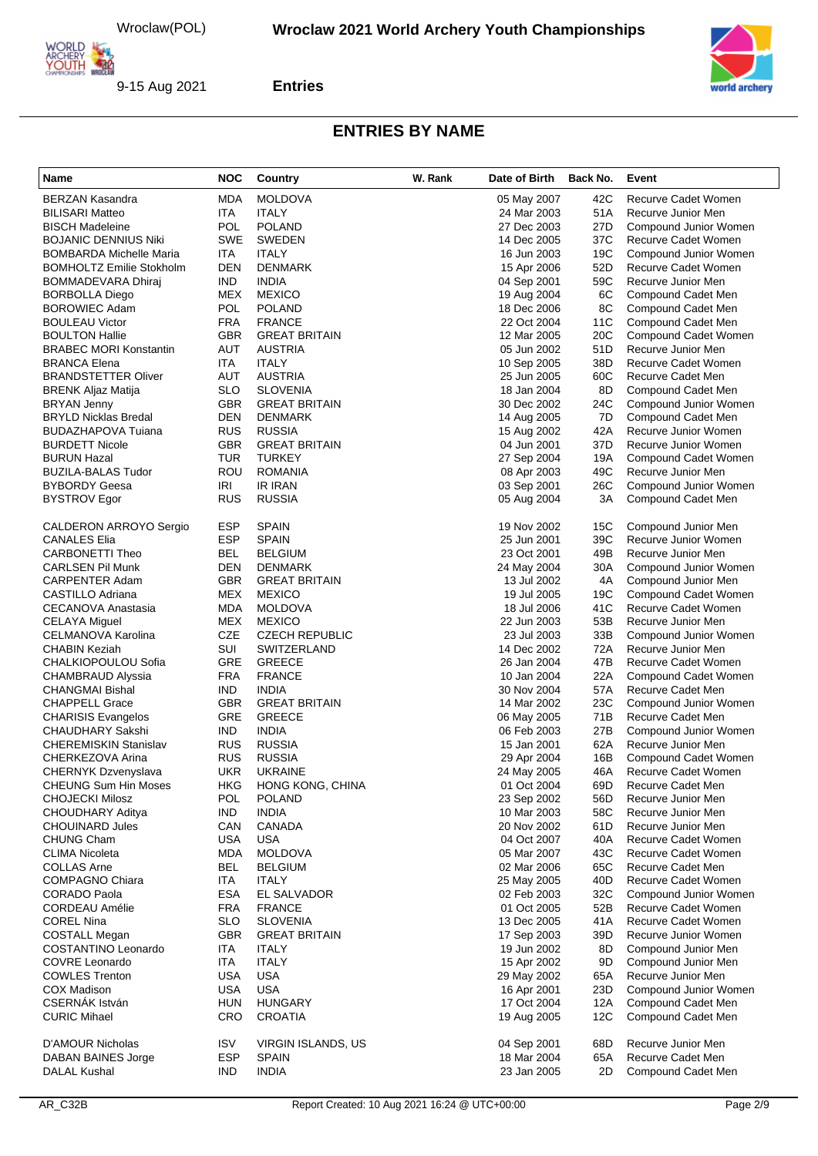

**Entries**

| Name                                                 | <b>NOC</b>               | Country                        | W. Rank | Date of Birth              | Back No.   | Event                                       |
|------------------------------------------------------|--------------------------|--------------------------------|---------|----------------------------|------------|---------------------------------------------|
| <b>BERZAN Kasandra</b>                               | <b>MDA</b>               | <b>MOLDOVA</b>                 |         | 05 May 2007                | 42C        | Recurve Cadet Women                         |
| <b>BILISARI Matteo</b>                               | ITA                      | <b>ITALY</b>                   |         | 24 Mar 2003                | 51A        | Recurve Junior Men                          |
| <b>BISCH Madeleine</b>                               | <b>POL</b>               | <b>POLAND</b>                  |         | 27 Dec 2003                | 27D        | Compound Junior Women                       |
| <b>BOJANIC DENNIUS Niki</b>                          | <b>SWE</b>               | <b>SWEDEN</b>                  |         | 14 Dec 2005                | 37C        | Recurve Cadet Women                         |
| <b>BOMBARDA Michelle Maria</b>                       | ITA                      | <b>ITALY</b>                   |         | 16 Jun 2003                | 19C        | Compound Junior Women                       |
| <b>BOMHOLTZ Emilie Stokholm</b>                      | <b>DEN</b>               | <b>DENMARK</b>                 |         | 15 Apr 2006                | 52D        | Recurve Cadet Women                         |
| BOMMADEVARA Dhiraj                                   | <b>IND</b>               | <b>INDIA</b>                   |         | 04 Sep 2001                | 59C        | Recurve Junior Men                          |
| <b>BORBOLLA Diego</b>                                | <b>MEX</b>               | <b>MEXICO</b>                  |         | 19 Aug 2004                | 6C         | Compound Cadet Men                          |
| <b>BOROWIEC Adam</b><br><b>BOULEAU Victor</b>        | <b>POL</b><br><b>FRA</b> | <b>POLAND</b><br><b>FRANCE</b> |         | 18 Dec 2006<br>22 Oct 2004 | 8C<br>11C  | Compound Cadet Men<br>Compound Cadet Men    |
| <b>BOULTON Hallie</b>                                | <b>GBR</b>               | <b>GREAT BRITAIN</b>           |         | 12 Mar 2005                | 20C        | Compound Cadet Women                        |
| <b>BRABEC MORI Konstantin</b>                        | AUT                      | <b>AUSTRIA</b>                 |         | 05 Jun 2002                | 51D        | Recurve Junior Men                          |
| <b>BRANCA Elena</b>                                  | ITA                      | <b>ITALY</b>                   |         | 10 Sep 2005                | 38D        | Recurve Cadet Women                         |
| <b>BRANDSTETTER Oliver</b>                           | AUT                      | <b>AUSTRIA</b>                 |         | 25 Jun 2005                | 60C        | Recurve Cadet Men                           |
| <b>BRENK Aljaz Matija</b>                            | <b>SLO</b>               | <b>SLOVENIA</b>                |         | 18 Jan 2004                | 8D         | Compound Cadet Men                          |
| <b>BRYAN Jenny</b>                                   | <b>GBR</b>               | <b>GREAT BRITAIN</b>           |         | 30 Dec 2002                | 24C        | Compound Junior Women                       |
| <b>BRYLD Nicklas Bredal</b>                          | <b>DEN</b>               | <b>DENMARK</b>                 |         | 14 Aug 2005                | 7D         | Compound Cadet Men                          |
| BUDAZHAPOVA Tuiana                                   | <b>RUS</b>               | <b>RUSSIA</b>                  |         | 15 Aug 2002                | 42A        | Recurve Junior Women                        |
| <b>BURDETT Nicole</b>                                | <b>GBR</b>               | <b>GREAT BRITAIN</b>           |         | 04 Jun 2001                | 37D        | Recurve Junior Women                        |
| <b>BURUN Hazal</b>                                   | <b>TUR</b>               | <b>TURKEY</b>                  |         | 27 Sep 2004                | 19A        | Compound Cadet Women                        |
| <b>BUZILA-BALAS Tudor</b>                            | ROU                      | <b>ROMANIA</b>                 |         | 08 Apr 2003                | 49C        | Recurve Junior Men                          |
| <b>BYBORDY Geesa</b>                                 | IRI                      | <b>IR IRAN</b>                 |         | 03 Sep 2001                | 26C        | Compound Junior Women                       |
| <b>BYSTROV Egor</b>                                  | <b>RUS</b>               | <b>RUSSIA</b>                  |         | 05 Aug 2004                | 3A         | Compound Cadet Men                          |
| CALDERON ARROYO Sergio                               | <b>ESP</b>               | <b>SPAIN</b>                   |         | 19 Nov 2002                | 15C        | Compound Junior Men                         |
| <b>CANALES Elia</b>                                  | <b>ESP</b>               | <b>SPAIN</b>                   |         | 25 Jun 2001                | 39C        | Recurve Junior Women                        |
| <b>CARBONETTI Theo</b>                               | BEL                      | <b>BELGIUM</b>                 |         | 23 Oct 2001                | 49B        | Recurve Junior Men                          |
| <b>CARLSEN Pil Munk</b>                              | DEN                      | <b>DENMARK</b>                 |         | 24 May 2004                | 30A        | Compound Junior Women                       |
| <b>CARPENTER Adam</b>                                | <b>GBR</b>               | <b>GREAT BRITAIN</b>           |         | 13 Jul 2002                | 4A         | Compound Junior Men                         |
| CASTILLO Adriana                                     | <b>MEX</b>               | <b>MEXICO</b>                  |         | 19 Jul 2005                | 19C        | Compound Cadet Women                        |
| CECANOVA Anastasia                                   | <b>MDA</b>               | <b>MOLDOVA</b>                 |         | 18 Jul 2006                | 41C        | Recurve Cadet Women                         |
| <b>CELAYA Miguel</b>                                 | <b>MEX</b>               | <b>MEXICO</b>                  |         | 22 Jun 2003                | 53B        | Recurve Junior Men                          |
| CELMANOVA Karolina                                   | <b>CZE</b>               | <b>CZECH REPUBLIC</b>          |         | 23 Jul 2003                | 33B        | Compound Junior Women                       |
| CHABIN Keziah                                        | SUI                      | SWITZERLAND                    |         | 14 Dec 2002                | 72A        | Recurve Junior Men                          |
| CHALKIOPOULOU Sofia                                  | GRE                      | <b>GREECE</b>                  |         | 26 Jan 2004                | 47B        | Recurve Cadet Women                         |
| CHAMBRAUD Alyssia                                    | <b>FRA</b>               | <b>FRANCE</b>                  |         | 10 Jan 2004                | 22A        | Compound Cadet Women                        |
| <b>CHANGMAI Bishal</b>                               | <b>IND</b>               | <b>INDIA</b>                   |         | 30 Nov 2004                | 57A        | Recurve Cadet Men                           |
| <b>CHAPPELL Grace</b>                                | <b>GBR</b><br>GRE        | <b>GREAT BRITAIN</b>           |         | 14 Mar 2002                | 23C        | Compound Junior Women                       |
| <b>CHARISIS Evangelos</b><br><b>CHAUDHARY Sakshi</b> | <b>IND</b>               | <b>GREECE</b><br><b>INDIA</b>  |         | 06 May 2005<br>06 Feb 2003 | 71B<br>27B | Recurve Cadet Men<br>Compound Junior Women  |
| <b>CHEREMISKIN Stanislav</b>                         | <b>RUS</b>               | <b>RUSSIA</b>                  |         | 15 Jan 2001                | 62A        | Recurve Junior Men                          |
| CHERKEZOVA Arina                                     | <b>RUS</b>               | <b>RUSSIA</b>                  |         | 29 Apr 2004                | 16B        | Compound Cadet Women                        |
| CHERNYK Dzvenyslava                                  | <b>UKR</b>               | <b>UKRAINE</b>                 |         | 24 May 2005                | 46A        | <b>Recurve Cadet Women</b>                  |
| <b>CHEUNG Sum Hin Moses</b>                          | HKG                      | HONG KONG, CHINA               |         | 01 Oct 2004                | 69D        | Recurve Cadet Men                           |
| <b>CHOJECKI Milosz</b>                               | POL                      | <b>POLAND</b>                  |         | 23 Sep 2002                | 56D        | Recurve Junior Men                          |
| CHOUDHARY Aditya                                     | <b>IND</b>               | <b>INDIA</b>                   |         | 10 Mar 2003                | 58C        | Recurve Junior Men                          |
| <b>CHOUINARD Jules</b>                               | CAN                      | CANADA                         |         | 20 Nov 2002                | 61D        | Recurve Junior Men                          |
| <b>CHUNG Cham</b>                                    | <b>USA</b>               | <b>USA</b>                     |         | 04 Oct 2007                | 40A        | Recurve Cadet Women                         |
| <b>CLIMA Nicoleta</b>                                | <b>MDA</b>               | <b>MOLDOVA</b>                 |         | 05 Mar 2007                | 43C        | Recurve Cadet Women                         |
| <b>COLLAS Arne</b>                                   | <b>BEL</b>               | <b>BELGIUM</b>                 |         | 02 Mar 2006                | 65C        | Recurve Cadet Men                           |
| <b>COMPAGNO Chiara</b>                               | ITA                      | <b>ITALY</b>                   |         | 25 May 2005                | 40D        | Recurve Cadet Women                         |
| <b>CORADO Paola</b>                                  | <b>ESA</b>               | EL SALVADOR                    |         | 02 Feb 2003                | 32C        | Compound Junior Women                       |
| <b>CORDEAU Amélie</b>                                | <b>FRA</b>               | <b>FRANCE</b>                  |         | 01 Oct 2005                | 52B        | <b>Recurve Cadet Women</b>                  |
| <b>COREL Nina</b>                                    | <b>SLO</b>               | <b>SLOVENIA</b>                |         | 13 Dec 2005                | 41A        | Recurve Cadet Women                         |
| COSTALL Megan                                        | <b>GBR</b>               | <b>GREAT BRITAIN</b>           |         | 17 Sep 2003                | 39D        | Recurve Junior Women                        |
| COSTANTINO Leonardo                                  | ITA                      | <b>ITALY</b>                   |         | 19 Jun 2002                | 8D         | Compound Junior Men                         |
| <b>COVRE Leonardo</b>                                | ITA                      | <b>ITALY</b>                   |         | 15 Apr 2002                | 9D         | Compound Junior Men                         |
| <b>COWLES Trenton</b><br><b>COX Madison</b>          | <b>USA</b><br>USA        | <b>USA</b><br><b>USA</b>       |         | 29 May 2002<br>16 Apr 2001 | 65A<br>23D | Recurve Junior Men<br>Compound Junior Women |
| <b>CSERNÁK István</b>                                | <b>HUN</b>               | <b>HUNGARY</b>                 |         |                            |            | Compound Cadet Men                          |
| <b>CURIC Mihael</b>                                  | <b>CRO</b>               | <b>CROATIA</b>                 |         | 17 Oct 2004<br>19 Aug 2005 | 12A<br>12C | Compound Cadet Men                          |
|                                                      |                          |                                |         |                            |            |                                             |
| <b>D'AMOUR Nicholas</b>                              | <b>ISV</b>               | VIRGIN ISLANDS, US             |         | 04 Sep 2001                | 68D        | Recurve Junior Men                          |
| <b>DABAN BAINES Jorge</b>                            | <b>ESP</b>               | <b>SPAIN</b>                   |         | 18 Mar 2004                | 65A        | Recurve Cadet Men                           |
| DALAL Kushal                                         | <b>IND</b>               | <b>INDIA</b>                   |         | 23 Jan 2005                | 2D         | Compound Cadet Men                          |

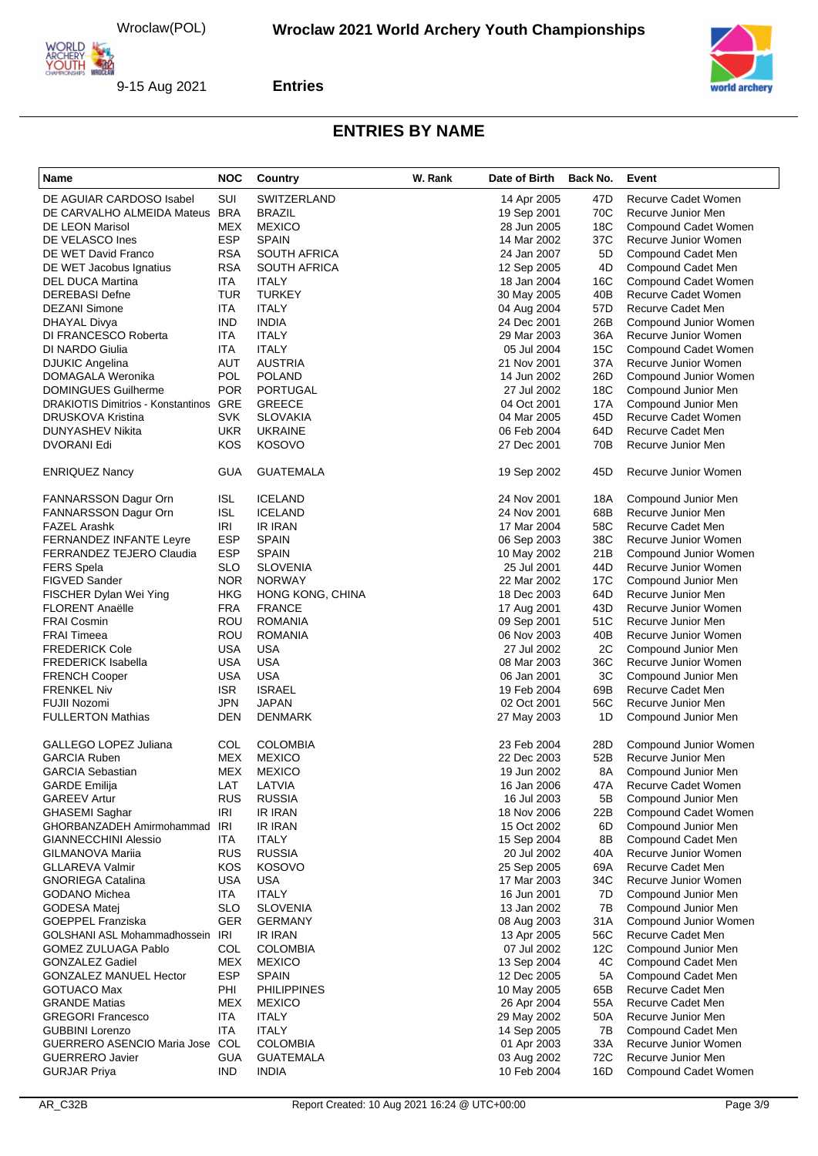

**Entries**

| Name                                                | <b>NOC</b>        | Country                           | W. Rank | Date of Birth              | Back No.   | Event                                         |
|-----------------------------------------------------|-------------------|-----------------------------------|---------|----------------------------|------------|-----------------------------------------------|
| DE AGUIAR CARDOSO Isabel                            | SUI               | SWITZERLAND                       |         | 14 Apr 2005                | 47D        | Recurve Cadet Women                           |
| DE CARVALHO ALMEIDA Mateus                          | <b>BRA</b>        | <b>BRAZIL</b>                     |         | 19 Sep 2001                | 70C        | Recurve Junior Men                            |
| DE LEON Marisol                                     | <b>MEX</b>        | <b>MEXICO</b>                     |         | 28 Jun 2005                | 18C        | Compound Cadet Women                          |
| DE VELASCO Ines                                     | <b>ESP</b>        | <b>SPAIN</b>                      |         | 14 Mar 2002                | 37C        | Recurve Junior Women                          |
| DE WET David Franco                                 | <b>RSA</b>        | <b>SOUTH AFRICA</b>               |         | 24 Jan 2007                | 5D         | Compound Cadet Men                            |
| DE WET Jacobus Ignatius                             | <b>RSA</b>        | <b>SOUTH AFRICA</b>               |         | 12 Sep 2005                | 4D         | Compound Cadet Men                            |
| DEL DUCA Martina                                    | ITA               | <b>ITALY</b>                      |         | 18 Jan 2004                | 16C        | Compound Cadet Women                          |
| <b>DEREBASI Defne</b>                               | TUR               | <b>TURKEY</b>                     |         | 30 May 2005                | 40B        | Recurve Cadet Women                           |
| <b>DEZANI Simone</b>                                | ITA<br><b>IND</b> | <b>ITALY</b><br><b>INDIA</b>      |         | 04 Aug 2004                | 57D<br>26B | Recurve Cadet Men                             |
| DHAYAL Divya<br>DI FRANCESCO Roberta                | ITA               | <b>ITALY</b>                      |         | 24 Dec 2001<br>29 Mar 2003 | 36A        | Compound Junior Women<br>Recurve Junior Women |
| DI NARDO Giulia                                     | ITA               | <b>ITALY</b>                      |         | 05 Jul 2004                | 15C        | Compound Cadet Women                          |
| <b>DJUKIC Angelina</b>                              | <b>AUT</b>        | <b>AUSTRIA</b>                    |         | 21 Nov 2001                | 37A        | Recurve Junior Women                          |
| DOMAGALA Weronika                                   | POL               | <b>POLAND</b>                     |         | 14 Jun 2002                | 26D        | Compound Junior Women                         |
| <b>DOMINGUES Guilherme</b>                          | <b>POR</b>        | <b>PORTUGAL</b>                   |         | 27 Jul 2002                | 18C        | Compound Junior Men                           |
| <b>DRAKIOTIS Dimitrios - Konstantinos GRE</b>       |                   | <b>GREECE</b>                     |         | 04 Oct 2001                | 17A        | Compound Junior Men                           |
| <b>DRUSKOVA Kristina</b>                            | <b>SVK</b>        | <b>SLOVAKIA</b>                   |         | 04 Mar 2005                | 45D        | Recurve Cadet Women                           |
| DUNYASHEV Nikita                                    | <b>UKR</b>        | <b>UKRAINE</b>                    |         | 06 Feb 2004                | 64D        | Recurve Cadet Men                             |
| DVORANI Edi                                         | <b>KOS</b>        | <b>KOSOVO</b>                     |         | 27 Dec 2001                | 70B        | Recurve Junior Men                            |
| <b>ENRIQUEZ Nancy</b>                               | <b>GUA</b>        | <b>GUATEMALA</b>                  |         | 19 Sep 2002                | 45D        | Recurve Junior Women                          |
| <b>FANNARSSON Dagur Orn</b>                         | <b>ISL</b>        | <b>ICELAND</b>                    |         | 24 Nov 2001                | 18A        | Compound Junior Men                           |
| FANNARSSON Dagur Orn                                | <b>ISL</b>        | <b>ICELAND</b>                    |         | 24 Nov 2001                | 68B        | Recurve Junior Men                            |
| <b>FAZEL Arashk</b>                                 | <b>IRI</b>        | <b>IR IRAN</b>                    |         | 17 Mar 2004                | 58C        | Recurve Cadet Men                             |
| <b>FERNANDEZ INFANTE Leyre</b>                      | <b>ESP</b>        | <b>SPAIN</b>                      |         | 06 Sep 2003                | 38C        | Recurve Junior Women                          |
| FERRANDEZ TEJERO Claudia                            | <b>ESP</b>        | <b>SPAIN</b>                      |         | 10 May 2002                | 21B        | Compound Junior Women                         |
| <b>FERS Spela</b>                                   | <b>SLO</b>        | <b>SLOVENIA</b>                   |         | 25 Jul 2001                | 44D        | Recurve Junior Women                          |
| <b>FIGVED Sander</b>                                | <b>NOR</b>        | <b>NORWAY</b>                     |         | 22 Mar 2002                | 17C        | Compound Junior Men                           |
| FISCHER Dylan Wei Ying                              | <b>HKG</b>        | HONG KONG, CHINA                  |         | 18 Dec 2003                | 64D        | Recurve Junior Men                            |
| <b>FLORENT Anaëlle</b>                              | <b>FRA</b>        | <b>FRANCE</b>                     |         | 17 Aug 2001                | 43D        | Recurve Junior Women                          |
| <b>FRAI Cosmin</b>                                  | ROU               | <b>ROMANIA</b>                    |         | 09 Sep 2001                | 51C        | Recurve Junior Men                            |
| <b>FRAI Timeea</b>                                  | ROU               | <b>ROMANIA</b>                    |         | 06 Nov 2003                | 40B        | Recurve Junior Women                          |
| <b>FREDERICK Cole</b>                               | <b>USA</b>        | <b>USA</b><br><b>USA</b>          |         | 27 Jul 2002                | 2C<br>36C  | Compound Junior Men                           |
| <b>FREDERICK Isabella</b>                           | USA<br><b>USA</b> | <b>USA</b>                        |         | 08 Mar 2003<br>06 Jan 2001 | 3C         | Recurve Junior Women                          |
| <b>FRENCH Cooper</b><br><b>FRENKEL Niv</b>          | <b>ISR</b>        | <b>ISRAEL</b>                     |         | 19 Feb 2004                | 69B        | Compound Junior Men<br>Recurve Cadet Men      |
| FUJII Nozomi                                        | <b>JPN</b>        | <b>JAPAN</b>                      |         | 02 Oct 2001                | 56C        | Recurve Junior Men                            |
| <b>FULLERTON Mathias</b>                            | DEN               | <b>DENMARK</b>                    |         | 27 May 2003                | 1D         | Compound Junior Men                           |
| GALLEGO LOPEZ Juliana                               | COL               | <b>COLOMBIA</b>                   |         | 23 Feb 2004                | 28D        | Compound Junior Women                         |
| <b>GARCIA Ruben</b>                                 | MEX               | <b>MEXICO</b>                     |         | 22 Dec 2003                | 52B        | Recurve Junior Men                            |
| <b>GARCIA Sebastian</b>                             | MEX               | <b>MEXICO</b>                     |         | 19 Jun 2002                | 8A         | Compound Junior Men                           |
| <b>GARDE Emilija</b>                                | LA I              | LATVIA                            |         | 16 Jan 2006                | 47A        | Recurve Cadet Women                           |
| <b>GAREEV Artur</b>                                 | <b>RUS</b>        | <b>RUSSIA</b>                     |         | 16 Jul 2003                | 5Β         | Compound Junior Men                           |
| GHASEMI Saghar                                      | IRI               | <b>IR IRAN</b>                    |         | 18 Nov 2006                | 22B        | Compound Cadet Women                          |
| GHORBANZADEH Amirmohammad                           | IRI               | IR IRAN                           |         | 15 Oct 2002                | 6D         | Compound Junior Men                           |
| <b>GIANNECCHINI Alessio</b>                         | ITA               | <b>ITALY</b>                      |         | 15 Sep 2004                | 8Β         | Compound Cadet Men                            |
| <b>GILMANOVA Marija</b>                             | <b>RUS</b>        | <b>RUSSIA</b>                     |         | 20 Jul 2002                | 40A        | Recurve Junior Women                          |
| <b>GLLAREVA Valmir</b>                              | <b>KOS</b>        | <b>KOSOVO</b>                     |         | 25 Sep 2005                | 69A        | Recurve Cadet Men                             |
| <b>GNORIEGA Catalina</b>                            | <b>USA</b>        | <b>USA</b>                        |         | 17 Mar 2003                | 34C        | Recurve Junior Women                          |
| <b>GODANO Michea</b>                                | ITA               | <b>ITALY</b>                      |         | 16 Jun 2001                | 7D         | Compound Junior Men                           |
| <b>GODESA Matej</b>                                 | <b>SLO</b>        | <b>SLOVENIA</b>                   |         | 13 Jan 2002                | 7B         | Compound Junior Men                           |
| <b>GOEPPEL Franziska</b>                            | <b>GER</b>        | <b>GERMANY</b>                    |         | 08 Aug 2003                | 31A        | Compound Junior Women                         |
| GOLSHANI ASL Mohammadhossein<br>GOMEZ ZULUAGA Pablo | IRI<br>COL        | <b>IR IRAN</b><br><b>COLOMBIA</b> |         | 13 Apr 2005                | 56C<br>12C | Recurve Cadet Men<br>Compound Junior Men      |
| <b>GONZALEZ Gadiel</b>                              | <b>MEX</b>        | <b>MEXICO</b>                     |         | 07 Jul 2002<br>13 Sep 2004 | 4C         | Compound Cadet Men                            |
| GONZALEZ MANUEL Hector                              | <b>ESP</b>        | <b>SPAIN</b>                      |         | 12 Dec 2005                | 5A         | Compound Cadet Men                            |
| <b>GOTUACO Max</b>                                  | PHI               | <b>PHILIPPINES</b>                |         | 10 May 2005                | 65B        | Recurve Cadet Men                             |
| <b>GRANDE Matias</b>                                | <b>MEX</b>        | <b>MEXICO</b>                     |         | 26 Apr 2004                | 55A        | Recurve Cadet Men                             |
| <b>GREGORI Francesco</b>                            | ITA               | <b>ITALY</b>                      |         | 29 May 2002                | 50A        | Recurve Junior Men                            |
| <b>GUBBINI Lorenzo</b>                              | ITA               | <b>ITALY</b>                      |         | 14 Sep 2005                | 7B         | Compound Cadet Men                            |
| <b>GUERRERO ASENCIO Maria Jose</b>                  | COL               | <b>COLOMBIA</b>                   |         | 01 Apr 2003                | 33A        | Recurve Junior Women                          |
| <b>GUERRERO Javier</b>                              | <b>GUA</b>        | GUATEMALA                         |         | 03 Aug 2002                | 72C        | Recurve Junior Men                            |
| <b>GURJAR Priya</b>                                 | <b>IND</b>        | <b>INDIA</b>                      |         | 10 Feb 2004                | 16D        | Compound Cadet Women                          |

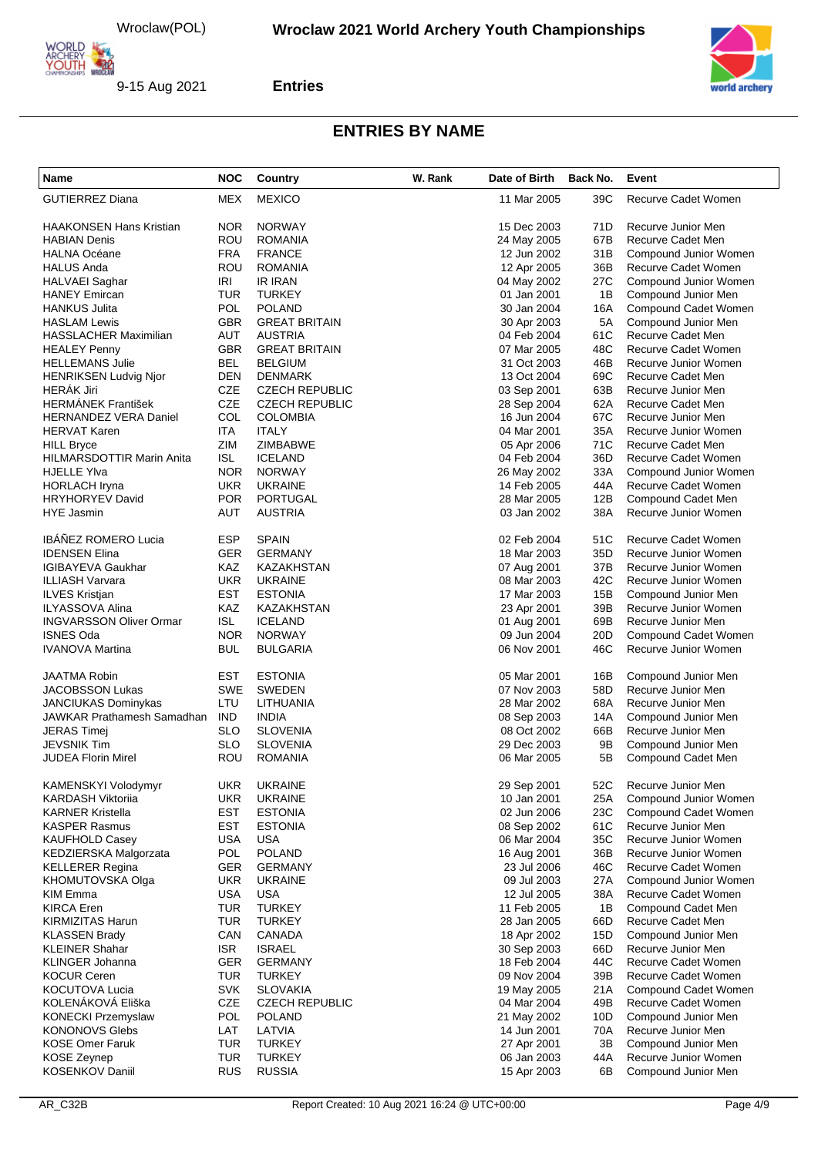

**Entries**

| Name                              | <b>NOC</b> | Country                          | W. Rank | Date of Birth              | Back No.               | Event                                        |
|-----------------------------------|------------|----------------------------------|---------|----------------------------|------------------------|----------------------------------------------|
| <b>GUTIERREZ Diana</b>            | MEX        | <b>MEXICO</b>                    |         | 11 Mar 2005                | 39C                    | Recurve Cadet Women                          |
| HAAKONSEN Hans Kristian           | <b>NOR</b> | <b>NORWAY</b>                    |         | 15 Dec 2003                | 71D                    | Recurve Junior Men                           |
| HABIAN Denis                      | ROU        | <b>ROMANIA</b>                   |         | 24 May 2005                | 67B                    | Recurve Cadet Men                            |
| HALNA Océane                      | <b>FRA</b> | <b>FRANCE</b>                    |         | 12 Jun 2002                | 31B                    | Compound Junior Women                        |
| HALUS Anda                        | ROU        | <b>ROMANIA</b>                   |         | 12 Apr 2005                | 36B                    | Recurve Cadet Women                          |
| HALVAEI Saghar                    | IRI        | <b>IR IRAN</b>                   |         | 04 May 2002                | 27C                    | Compound Junior Women                        |
| HANEY Emircan                     | TUR        | <b>TURKEY</b>                    |         | 01 Jan 2001                | 1B                     | Compound Junior Men                          |
| HANKUS Julita                     | <b>POL</b> | <b>POLAND</b>                    |         | 30 Jan 2004                | 16A                    | Compound Cadet Women                         |
| <b>HASLAM Lewis</b>               | <b>GBR</b> | <b>GREAT BRITAIN</b>             |         | 30 Apr 2003                | 5A                     | Compound Junior Men                          |
| <b>HASSLACHER Maximilian</b>      | AUT        | <b>AUSTRIA</b>                   |         | 04 Feb 2004                | 61C                    | Recurve Cadet Men                            |
| HEALEY Penny                      | <b>GBR</b> | <b>GREAT BRITAIN</b>             |         | 07 Mar 2005                | 48C                    | Recurve Cadet Women                          |
| HELLEMANS Julie                   | <b>BEL</b> | <b>BELGIUM</b>                   |         | 31 Oct 2003                | 46B                    | Recurve Junior Women                         |
| <b>HENRIKSEN Ludvig Njor</b>      | <b>DEN</b> | <b>DENMARK</b>                   |         | 13 Oct 2004                | 69C                    | Recurve Cadet Men                            |
| HERÁK Jiri                        | <b>CZE</b> | <b>CZECH REPUBLIC</b>            |         | 03 Sep 2001                | 63B                    | Recurve Junior Men                           |
| HERMÁNEK František                | <b>CZE</b> | <b>CZECH REPUBLIC</b>            |         | 28 Sep 2004                | 62A                    | Recurve Cadet Men                            |
| <b>HERNANDEZ VERA Daniel</b>      | COL        | <b>COLOMBIA</b>                  |         | 16 Jun 2004                | 67C                    | Recurve Junior Men                           |
| HERVAT Karen                      | ITA        | <b>ITALY</b>                     |         | 04 Mar 2001                | 35A                    | Recurve Junior Women                         |
| HILL Bryce                        | ZIM        | ZIMBABWE                         |         | 05 Apr 2006                | 71C                    | Recurve Cadet Men                            |
| HILMARSDOTTIR Marin Anita         | <b>ISL</b> | <b>ICELAND</b>                   |         | 04 Feb 2004                | 36D                    | Recurve Cadet Women                          |
| HJELLE YIva                       | <b>NOR</b> | <b>NORWAY</b>                    |         | 26 May 2002                | 33A                    | Compound Junior Women                        |
| <b>HORLACH Iryna</b>              | <b>UKR</b> | <b>UKRAINE</b>                   |         | 14 Feb 2005                | 44A                    | Recurve Cadet Women                          |
| <b>HRYHORYEV David</b>            | <b>POR</b> | <b>PORTUGAL</b>                  |         | 28 Mar 2005                | 12B                    | Compound Cadet Men                           |
| <b>HYE Jasmin</b>                 | AUT        | <b>AUSTRIA</b>                   |         | 03 Jan 2002                | 38A                    | Recurve Junior Women                         |
| IBÁÑEZ ROMERO Lucia               | <b>ESP</b> | <b>SPAIN</b>                     |         | 02 Feb 2004                | 51C                    | Recurve Cadet Women                          |
| <b>IDENSEN Elina</b>              | GER        | <b>GERMANY</b>                   |         | 18 Mar 2003                | 35D                    | Recurve Junior Women                         |
| IGIBAYEVA Gaukhar                 | <b>KAZ</b> | KAZAKHSTAN                       |         | 07 Aug 2001                | 37B                    | Recurve Junior Women                         |
| ILLIASH Varvara                   | <b>UKR</b> | <b>UKRAINE</b>                   |         | 08 Mar 2003                | 42C                    | Recurve Junior Women                         |
|                                   | <b>EST</b> | <b>ESTONIA</b>                   |         |                            | 15B                    | Compound Junior Men                          |
| ILVES Kristjan<br>ILYASSOVA Alina | KAZ        | KAZAKHSTAN                       |         | 17 Mar 2003                | 39B                    | Recurve Junior Women                         |
|                                   | <b>ISL</b> |                                  |         | 23 Apr 2001                |                        |                                              |
| <b>INGVARSSON Oliver Ormar</b>    | <b>NOR</b> | <b>ICELAND</b>                   |         | 01 Aug 2001                | 69B                    | Recurve Junior Men                           |
| ISNES Oda<br>IVANOVA Martina      | <b>BUL</b> | <b>NORWAY</b><br><b>BULGARIA</b> |         | 09 Jun 2004<br>06 Nov 2001 | 20 <sub>D</sub><br>46C | Compound Cadet Women<br>Recurve Junior Women |
| JAATMA Robin                      | EST        | <b>ESTONIA</b>                   |         | 05 Mar 2001                | 16B                    |                                              |
|                                   |            |                                  |         |                            |                        | Compound Junior Men                          |
| JACOBSSON Lukas                   | <b>SWE</b> | <b>SWEDEN</b>                    |         | 07 Nov 2003                | 58D                    | Recurve Junior Men                           |
| JANCIUKAS Dominykas               | LTU        | <b>LITHUANIA</b>                 |         | 28 Mar 2002                | 68A                    | Recurve Junior Men                           |
| JAWKAR Prathamesh Samadhan        | <b>IND</b> | <b>INDIA</b>                     |         | 08 Sep 2003                | 14A                    | Compound Junior Men                          |
| <b>JERAS Timej</b>                | <b>SLO</b> | <b>SLOVENIA</b>                  |         | 08 Oct 2002                | 66B                    | Recurve Junior Men                           |
| JEVSNIK Tim                       | <b>SLO</b> | <b>SLOVENIA</b>                  |         | 29 Dec 2003                | 9B                     | Compound Junior Men                          |
| JUDEA Florin Mirel                | <b>ROU</b> | <b>ROMANIA</b>                   |         | 06 Mar 2005                | 5B                     | Compound Cadet Men                           |
| KAMENSKYI Volodymyr               | UKR        | <b>UKRAINE</b>                   |         | 29 Sep 2001                | 52C                    | Recurve Junior Men                           |
| KARDASH Viktoriia                 | <b>UKR</b> | <b>UKRAINE</b>                   |         | 10 Jan 2001                | 25A                    | Compound Junior Women                        |
| KARNER Kristella                  | <b>EST</b> | <b>ESTONIA</b>                   |         | 02 Jun 2006                | 23C                    | Compound Cadet Women                         |
| KASPER Rasmus                     | EST        | <b>ESTONIA</b>                   |         | 08 Sep 2002                | 61C                    | Recurve Junior Men                           |
| KAUFHOLD Casey                    | <b>USA</b> | <b>USA</b>                       |         | 06 Mar 2004                | 35C                    | Recurve Junior Women                         |
| KEDZIERSKA Malgorzata             | POL        | <b>POLAND</b>                    |         | 16 Aug 2001                | 36B                    | Recurve Junior Women                         |
| KELLERER Regina                   | GER        | <b>GERMANY</b>                   |         | 23 Jul 2006                | 46C                    | Recurve Cadet Women                          |
| KHOMUTOVSKA Olga                  | <b>UKR</b> | <b>UKRAINE</b>                   |         | 09 Jul 2003                | 27A                    | Compound Junior Women                        |
| KIM Emma                          | <b>USA</b> | <b>USA</b>                       |         | 12 Jul 2005                | 38A                    | Recurve Cadet Women                          |
| KIRCA Eren                        | <b>TUR</b> | <b>TURKEY</b>                    |         | 11 Feb 2005                | 1B                     | Compound Cadet Men                           |
| KIRMIZITAS Harun                  | <b>TUR</b> | <b>TURKEY</b>                    |         | 28 Jan 2005                | 66D                    | Recurve Cadet Men                            |
| KLASSEN Brady                     | CAN        | CANADA                           |         | 18 Apr 2002                | 15D                    | Compound Junior Men                          |
| KLEINER Shahar                    | <b>ISR</b> | <b>ISRAEL</b>                    |         | 30 Sep 2003                | 66D                    | Recurve Junior Men                           |
| KLINGER Johanna                   | GER        | <b>GERMANY</b>                   |         | 18 Feb 2004                | 44C                    | Recurve Cadet Women                          |
| KOCUR Ceren                       | TUR        | <b>TURKEY</b>                    |         | 09 Nov 2004                | 39B                    | Recurve Cadet Women                          |
| KOCUTOVA Lucia                    | <b>SVK</b> | <b>SLOVAKIA</b>                  |         | 19 May 2005                | 21A                    | Compound Cadet Women                         |
| KOLENÁKOVÁ Eliška                 | CZE        | <b>CZECH REPUBLIC</b>            |         | 04 Mar 2004                | 49B                    | Recurve Cadet Women                          |
| KONECKI Przemyslaw                | POL        | <b>POLAND</b>                    |         | 21 May 2002                | 10D                    | Compound Junior Men                          |
| KONONOVS Glebs                    | LAT        | LATVIA                           |         | 14 Jun 2001                | 70A                    | Recurve Junior Men                           |
| <b>KOSE Omer Faruk</b>            | <b>TUR</b> | <b>TURKEY</b>                    |         | 27 Apr 2001                | ЗB                     | Compound Junior Men                          |
| KOSE Zeynep                       | <b>TUR</b> | <b>TURKEY</b>                    |         | 06 Jan 2003                | 44A                    | Recurve Junior Women                         |
| KOSENKOV Daniil                   | <b>RUS</b> | <b>RUSSIA</b>                    |         | 15 Apr 2003                | 6В                     | Compound Junior Men                          |
|                                   |            |                                  |         |                            |                        |                                              |

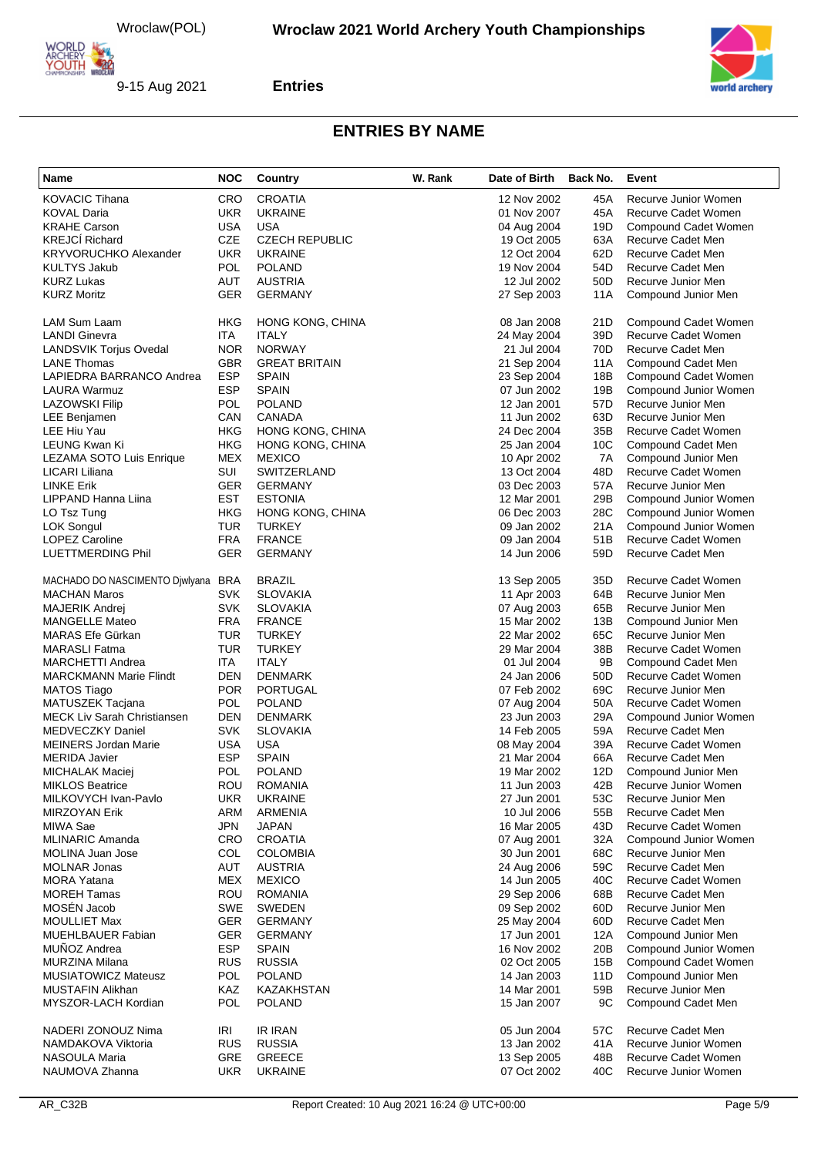

**Entries**



| Name                               | <b>NOC</b> | Country                 | W. Rank | Date of Birth | Back No.        | Event                      |
|------------------------------------|------------|-------------------------|---------|---------------|-----------------|----------------------------|
| <b>KOVACIC Tihana</b>              | <b>CRO</b> | <b>CROATIA</b>          |         | 12 Nov 2002   | 45A             | Recurve Junior Women       |
| <b>KOVAL Daria</b>                 | <b>UKR</b> | <b>UKRAINE</b>          |         | 01 Nov 2007   | 45A             | Recurve Cadet Women        |
| <b>KRAHE Carson</b>                | <b>USA</b> | <b>USA</b>              |         | 04 Aug 2004   | 19D             | Compound Cadet Women       |
| <b>KREJCÍ Richard</b>              | <b>CZE</b> | <b>CZECH REPUBLIC</b>   |         | 19 Oct 2005   | 63A             | Recurve Cadet Men          |
| <b>KRYVORUCHKO Alexander</b>       | <b>UKR</b> | <b>UKRAINE</b>          |         | 12 Oct 2004   | 62D             | Recurve Cadet Men          |
| <b>KULTYS Jakub</b>                | <b>POL</b> | <b>POLAND</b>           |         | 19 Nov 2004   | 54D             | Recurve Cadet Men          |
| <b>KURZ Lukas</b>                  | <b>AUT</b> | <b>AUSTRIA</b>          |         | 12 Jul 2002   | 50 <sub>D</sub> | Recurve Junior Men         |
| <b>KURZ Moritz</b>                 | <b>GER</b> | <b>GERMANY</b>          |         | 27 Sep 2003   | 11A             | Compound Junior Men        |
| LAM Sum Laam                       | HKG        | <b>HONG KONG, CHINA</b> |         | 08 Jan 2008   | 21D             | Compound Cadet Women       |
| <b>LANDI Ginevra</b>               | <b>ITA</b> | <b>ITALY</b>            |         | 24 May 2004   | 39 <sub>D</sub> | <b>Recurve Cadet Women</b> |
| <b>LANDSVIK Torjus Ovedal</b>      | <b>NOR</b> | <b>NORWAY</b>           |         | 21 Jul 2004   | 70 <sub>D</sub> | Recurve Cadet Men          |
| <b>LANE Thomas</b>                 | <b>GBR</b> | <b>GREAT BRITAIN</b>    |         | 21 Sep 2004   | 11A             | Compound Cadet Men         |
| LAPIEDRA BARRANCO Andrea           | <b>ESP</b> | <b>SPAIN</b>            |         | 23 Sep 2004   | 18B             | Compound Cadet Women       |
| LAURA Warmuz                       | <b>ESP</b> | <b>SPAIN</b>            |         | 07 Jun 2002   | 19B             | Compound Junior Women      |
| <b>LAZOWSKI Filip</b>              | <b>POL</b> | <b>POLAND</b>           |         | 12 Jan 2001   | 57 <sub>D</sub> | Recurve Junior Men         |
| LEE Benjamen                       | CAN        | <b>CANADA</b>           |         | 11 Jun 2002   | 63D             | Recurve Junior Men         |
| LEE Hiu Yau                        | <b>HKG</b> | HONG KONG, CHINA        |         | 24 Dec 2004   | 35B             | Recurve Cadet Women        |
| LEUNG Kwan Ki                      | HKG        | HONG KONG, CHINA        |         | 25 Jan 2004   | 10 <sub>C</sub> | Compound Cadet Men         |
| LEZAMA SOTO Luis Enrique           | <b>MEX</b> | <b>MEXICO</b>           |         | 10 Apr 2002   | 7A              | Compound Junior Men        |
| LICARI Liliana                     | SUI        | SWITZERLAND             |         | 13 Oct 2004   | 48D             | <b>Recurve Cadet Women</b> |
| <b>LINKE Erik</b>                  | <b>GER</b> | <b>GERMANY</b>          |         | 03 Dec 2003   | 57A             | Recurve Junior Men         |
| LIPPAND Hanna Liina                | <b>EST</b> | <b>ESTONIA</b>          |         | 12 Mar 2001   | 29B             | Compound Junior Women      |
| LO Tsz Tung                        | HKG        | HONG KONG, CHINA        |         | 06 Dec 2003   | 28C             | Compound Junior Women      |
| <b>LOK Songul</b>                  | <b>TUR</b> | <b>TURKEY</b>           |         | 09 Jan 2002   | 21A             | Compound Junior Women      |
| <b>LOPEZ Caroline</b>              | <b>FRA</b> | <b>FRANCE</b>           |         | 09 Jan 2004   | 51B             | Recurve Cadet Women        |
| LUETTMERDING Phil                  | <b>GER</b> | <b>GERMANY</b>          |         | 14 Jun 2006   | 59 <sub>D</sub> | Recurve Cadet Men          |
| MACHADO DO NASCIMENTO Djwlyana     | <b>BRA</b> | <b>BRAZIL</b>           |         | 13 Sep 2005   | 35D             | Recurve Cadet Women        |
| <b>MACHAN Maros</b>                | <b>SVK</b> | <b>SLOVAKIA</b>         |         | 11 Apr 2003   | 64B             | Recurve Junior Men         |
| MAJERIK Andrej                     | <b>SVK</b> | <b>SLOVAKIA</b>         |         | 07 Aug 2003   | 65B             | Recurve Junior Men         |
| <b>MANGELLE Mateo</b>              | <b>FRA</b> | <b>FRANCE</b>           |         | 15 Mar 2002   | 13B             | Compound Junior Men        |
| MARAS Efe Gürkan                   | <b>TUR</b> | <b>TURKEY</b>           |         | 22 Mar 2002   | 65C             | Recurve Junior Men         |
| <b>MARASLI Fatma</b>               | <b>TUR</b> | <b>TURKEY</b>           |         | 29 Mar 2004   | 38B             | Recurve Cadet Women        |
| <b>MARCHETTI Andrea</b>            | ITA        | <b>ITALY</b>            |         | 01 Jul 2004   | 9Β              | Compound Cadet Men         |
| <b>MARCKMANN Marie Flindt</b>      | DEN        | <b>DENMARK</b>          |         | 24 Jan 2006   | 50 <sub>D</sub> | Recurve Cadet Women        |
| <b>MATOS Tiago</b>                 | <b>POR</b> | <b>PORTUGAL</b>         |         | 07 Feb 2002   | 69C             | Recurve Junior Men         |
| MATUSZEK Tacjana                   | <b>POL</b> | <b>POLAND</b>           |         | 07 Aug 2004   | 50A             | Recurve Cadet Women        |
| <b>MECK Liv Sarah Christiansen</b> | DEN        | <b>DENMARK</b>          |         | 23 Jun 2003   | 29A             | Compound Junior Women      |
| MEDVECZKY Daniel                   | <b>SVK</b> | <b>SLOVAKIA</b>         |         | 14 Feb 2005   | 59A             | Recurve Cadet Men          |
| <b>MEINERS Jordan Marie</b>        | <b>USA</b> | <b>USA</b>              |         | 08 May 2004   | 39A             | Recurve Cadet Women        |
| <b>MERIDA Javier</b>               | <b>ESP</b> | <b>SPAIN</b>            |         | 21 Mar 2004   | 66A             | Recurve Cadet Men          |
| MICHALAK Maciej                    | POL        | <b>POLAND</b>           |         | 19 Mar 2002   | 12D             | Compound Junior Men        |
| <b>MIKLOS Beatrice</b>             | <b>ROU</b> | ROMANIA                 |         | 11 Jun 2003   | 42B             | Recurve Junior Women       |
| MILKOVYCH Ivan-Pavlo               | <b>UKR</b> | <b>UKRAINE</b>          |         | 27 Jun 2001   | 53C             | Recurve Junior Men         |
| <b>MIRZOYAN Erik</b>               | ARM        | ARMENIA                 |         | 10 Jul 2006   | 55B             | <b>Recurve Cadet Men</b>   |
| MIWA Sae                           | <b>JPN</b> | <b>JAPAN</b>            |         | 16 Mar 2005   | 43D             | Recurve Cadet Women        |
| MLINARIC Amanda                    | <b>CRO</b> | <b>CROATIA</b>          |         | 07 Aug 2001   | 32A             | Compound Junior Women      |
| MOLINA Juan Jose                   | <b>COL</b> | <b>COLOMBIA</b>         |         | 30 Jun 2001   | 68C             | Recurve Junior Men         |
| <b>MOLNAR Jonas</b>                | AUT        | <b>AUSTRIA</b>          |         | 24 Aug 2006   | 59C             | Recurve Cadet Men          |
| <b>MORA Yatana</b>                 | MEX        | <b>MEXICO</b>           |         | 14 Jun 2005   | 40C             | Recurve Cadet Women        |
| <b>MOREH Tamas</b>                 | <b>ROU</b> | <b>ROMANIA</b>          |         | 29 Sep 2006   | 68B             | Recurve Cadet Men          |
| MOSÉN Jacob                        | <b>SWE</b> | <b>SWEDEN</b>           |         | 09 Sep 2002   | 60 <sub>D</sub> | Recurve Junior Men         |
| <b>MOULLIET Max</b>                | GER        | <b>GERMANY</b>          |         | 25 May 2004   | 60D             | Recurve Cadet Men          |
| <b>MUEHLBAUER Fabian</b>           | <b>GER</b> | <b>GERMANY</b>          |         | 17 Jun 2001   | 12A             | Compound Junior Men        |
| MUÑOZ Andrea                       | <b>ESP</b> | <b>SPAIN</b>            |         | 16 Nov 2002   | 20B             | Compound Junior Women      |
| <b>MURZINA Milana</b>              | <b>RUS</b> | <b>RUSSIA</b>           |         | 02 Oct 2005   | 15B             | Compound Cadet Women       |
| <b>MUSIATOWICZ Mateusz</b>         | POL        | <b>POLAND</b>           |         | 14 Jan 2003   | 11D             | Compound Junior Men        |
| <b>MUSTAFIN Alikhan</b>            | KAZ        | KAZAKHSTAN              |         | 14 Mar 2001   | 59B             | Recurve Junior Men         |
| MYSZOR-LACH Kordian                | POL        | <b>POLAND</b>           |         | 15 Jan 2007   | 9C              | Compound Cadet Men         |
| NADERI ZONOUZ Nima                 | IRI        | <b>IR IRAN</b>          |         | 05 Jun 2004   | 57C             | Recurve Cadet Men          |
| NAMDAKOVA Viktoria                 | <b>RUS</b> | <b>RUSSIA</b>           |         | 13 Jan 2002   | 41A             | Recurve Junior Women       |
| NASOULA Maria                      | GRE        | <b>GREECE</b>           |         | 13 Sep 2005   | 48B             | Recurve Cadet Women        |
| NAUMOVA Zhanna                     | <b>UKR</b> | <b>UKRAINE</b>          |         | 07 Oct 2002   | 40C             | Recurve Junior Women       |
|                                    |            |                         |         |               |                 |                            |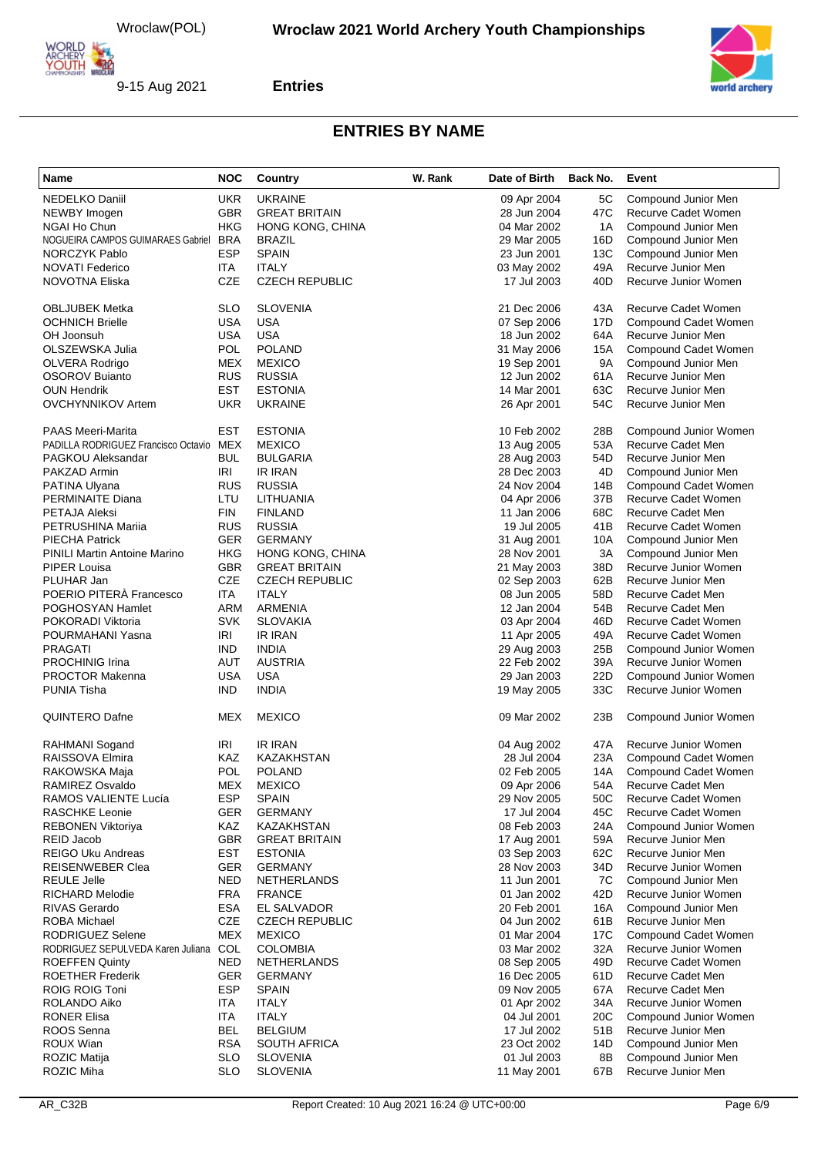

**Entries**



| <b>UKR</b><br><b>NEDELKO Daniil</b><br><b>UKRAINE</b><br>5C<br>Compound Junior Men<br>09 Apr 2004<br><b>GBR</b><br>NEWBY Imogen<br><b>GREAT BRITAIN</b><br>28 Jun 2004<br>47C<br><b>Recurve Cadet Women</b><br>HKG<br>1A<br>NGAI Ho Chun<br>HONG KONG, CHINA<br>04 Mar 2002<br>Compound Junior Men<br><b>BRA</b><br>NOGUEIRA CAMPOS GUIMARAES Gabriel<br>16D<br>Compound Junior Men<br>BRAZIL<br>29 Mar 2005<br><b>ESP</b><br><b>NORCZYK Pablo</b><br><b>SPAIN</b><br>13C<br>23 Jun 2001<br>Compound Junior Men<br><b>NOVATI Federico</b><br>ITA<br><b>ITALY</b><br>49A<br>Recurve Junior Men<br>03 May 2002<br><b>CZE</b><br><b>CZECH REPUBLIC</b><br>40 <sub>D</sub><br>Recurve Junior Women<br>NOVOTNA Eliska<br>17 Jul 2003<br><b>SLO</b><br><b>SLOVENIA</b><br>21 Dec 2006<br>43A<br>Recurve Cadet Women<br>OBLJUBEK Metka<br><b>USA</b><br><b>OCHNICH Brielle</b><br><b>USA</b><br>07 Sep 2006<br>17D<br>Compound Cadet Women<br><b>USA</b><br><b>USA</b><br>OH Joonsuh<br>64A<br>Recurve Junior Men<br>18 Jun 2002<br><b>POLAND</b><br>OLSZEWSKA Julia<br>POL<br>31 May 2006<br>15A<br>Compound Cadet Women<br>MEX<br><b>MEXICO</b><br>9Α<br>Compound Junior Men<br>OLVERA Rodrigo<br>19 Sep 2001<br><b>RUS</b><br><b>RUSSIA</b><br>61A<br>Recurve Junior Men<br>OSOROV Buianto<br>12 Jun 2002<br><b>EST</b><br><b>OUN Hendrik</b><br><b>ESTONIA</b><br>14 Mar 2001<br>63C<br>Recurve Junior Men<br>54C<br>UKR<br><b>UKRAINE</b><br>Recurve Junior Men<br>OVCHYNNIKOV Artem<br>26 Apr 2001<br><b>PAAS Meeri-Marita</b><br>EST<br><b>ESTONIA</b><br>10 Feb 2002<br>28B<br>Compound Junior Women<br>PADILLA RODRIGUEZ Francisco Octavio MEX<br><b>MEXICO</b><br>13 Aug 2005<br>53A<br>Recurve Cadet Men<br><b>BUL</b><br><b>BULGARIA</b><br>54D<br>Recurve Junior Men<br>PAGKOU Aleksandar<br>28 Aug 2003<br>IRI<br><b>IR IRAN</b><br>28 Dec 2003<br>4D<br>PAKZAD Armin<br>Compound Junior Men<br><b>RUS</b><br><b>RUSSIA</b><br>24 Nov 2004<br>14B<br>PATINA Ulyana<br>Compound Cadet Women<br>Recurve Cadet Women<br>PERMINAITE Diana<br>LTU<br><b>LITHUANIA</b><br>37B<br>04 Apr 2006<br><b>FIN</b><br>68C<br>Recurve Cadet Men<br>PETAJA Aleksi<br><b>FINLAND</b><br>11 Jan 2006<br>PETRUSHINA Marija<br><b>RUS</b><br><b>RUSSIA</b><br>19 Jul 2005<br>41B<br><b>Recurve Cadet Women</b><br><b>GER</b><br><b>GERMANY</b><br>10A<br>Compound Junior Men<br>PIECHA Patrick<br>31 Aug 2001<br><b>HKG</b><br>3A<br>Compound Junior Men<br>PINILI Martin Antoine Marino<br>HONG KONG, CHINA<br>28 Nov 2001<br><b>GBR</b><br>PIPER Louisa<br><b>GREAT BRITAIN</b><br>21 May 2003<br>38D<br>Recurve Junior Women<br>CZE<br>PLUHAR Jan<br><b>CZECH REPUBLIC</b><br>62B<br>Recurve Junior Men<br>02 Sep 2003<br>POERIO PITERÀ Francesco<br><b>ITA</b><br><b>ITALY</b><br>58D<br>Recurve Cadet Men<br>08 Jun 2005<br>POGHOSYAN Hamlet<br>ARM<br>ARMENIA<br>12 Jan 2004<br>54B<br>Recurve Cadet Men<br><b>SVK</b><br><b>SLOVAKIA</b><br>46D<br>Recurve Cadet Women<br>POKORADI Viktoria<br>03 Apr 2004<br><b>IRI</b><br><b>IR IRAN</b><br>49A<br>Recurve Cadet Women<br>POURMAHANI Yasna<br>11 Apr 2005<br>PRAGATI<br><b>IND</b><br><b>INDIA</b><br>25B<br>29 Aug 2003<br>Compound Junior Women<br>AUT<br><b>AUSTRIA</b><br><b>PROCHINIG Irina</b><br>22 Feb 2002<br>39A<br>Recurve Junior Women<br><b>USA</b><br><b>PROCTOR Makenna</b><br><b>USA</b><br>29 Jan 2003<br>22D<br>Compound Junior Women<br>33C<br><b>IND</b><br><b>INDIA</b><br>Recurve Junior Women<br>PUNIA Tisha<br>19 May 2005<br>MEX<br><b>MEXICO</b><br>09 Mar 2002<br>QUINTERO Dafne<br>23B<br>Compound Junior Women<br><b>IRI</b><br>IR IRAN<br>47A<br>Recurve Junior Women<br>RAHMANI Sogand<br>04 Aug 2002<br>RAISSOVA Elmira<br>KAZ<br><b>KAZAKHSTAN</b><br>28 Jul 2004<br>23A<br>Compound Cadet Women<br>POL<br><b>POLAND</b><br>14A<br>Compound Cadet Women<br>RAKOWSKA Maja<br>02 Feb 2005<br>RAMIREZ Osvaldo<br>MEX<br><b>MEXICO</b><br>09 Apr 2006<br>54A<br>Recurve Cadet Men<br><b>ESP</b><br><b>SPAIN</b><br>50C<br><b>Recurve Cadet Women</b><br><b>RAMOS VALIENTE Lucía</b><br>29 Nov 2005<br>RASCHKE Leonie<br><b>GER</b><br><b>GERMANY</b><br>45C<br>17 Jul 2004<br>Recurve Cadet Women<br>KAZ<br>KAZAKHSTAN<br>REBONEN Viktoriya<br>08 Feb 2003<br>24A<br>Compound Junior Women<br><b>GBR</b><br><b>GREAT BRITAIN</b><br>REID Jacob<br>17 Aug 2001<br>59A<br>Recurve Junior Men<br><b>EST</b><br><b>REIGO Uku Andreas</b><br><b>ESTONIA</b><br>62C<br>Recurve Junior Men<br>03 Sep 2003<br><b>GER</b><br><b>REISENWEBER Clea</b><br><b>GERMANY</b><br>28 Nov 2003<br>34D<br>Recurve Junior Women<br><b>REULE Jelle</b><br><b>NED</b><br>7C<br><b>NETHERLANDS</b><br>11 Jun 2001<br>Compound Junior Men<br><b>FRA</b><br>42D<br>Recurve Junior Women<br><b>RICHARD Melodie</b><br><b>FRANCE</b><br>01 Jan 2002<br><b>ESA</b><br>Compound Junior Men<br>RIVAS Gerardo<br>EL SALVADOR<br>20 Feb 2001<br>16A<br>ROBA Michael<br>CZE<br><b>CZECH REPUBLIC</b><br>61B<br>04 Jun 2002<br>Recurve Junior Men<br>RODRIGUEZ Selene<br>MEX<br><b>MEXICO</b><br>17 <sub>C</sub><br>01 Mar 2004<br>Compound Cadet Women<br>RODRIGUEZ SEPULVEDA Karen Juliana COL<br>Recurve Junior Women<br><b>COLOMBIA</b><br>03 Mar 2002<br>32A<br>NED<br>Recurve Cadet Women<br><b>ROEFFEN Quinty</b><br><b>NETHERLANDS</b><br>08 Sep 2005<br>49D<br>Recurve Cadet Men<br><b>ROETHER Frederik</b><br>GER<br><b>GERMANY</b><br>16 Dec 2005<br>61D<br><b>ESP</b><br><b>ROIG ROIG Toni</b><br><b>SPAIN</b><br>Recurve Cadet Men<br>09 Nov 2005<br>67A<br>ROLANDO Aiko<br><b>ITA</b><br><b>ITALY</b><br>34A<br>Recurve Junior Women<br>01 Apr 2002<br><b>RONER Elisa</b><br><b>ITA</b><br><b>ITALY</b><br>04 Jul 2001<br>20C<br>Compound Junior Women<br>ROOS Senna<br><b>BEL</b><br><b>BELGIUM</b><br>51B<br>Recurve Junior Men<br>17 Jul 2002<br>ROUX Wian<br><b>RSA</b><br>SOUTH AFRICA<br>23 Oct 2002<br>14D<br>Compound Junior Men<br><b>ROZIC Matija</b><br><b>SLO</b><br><b>SLOVENIA</b><br>01 Jul 2003<br>8B<br>Compound Junior Men<br>ROZIC Miha<br><b>SLO</b><br><b>SLOVENIA</b><br>67B<br>Recurve Junior Men<br>11 May 2001 | Name | <b>NOC</b> | <b>Country</b> | W. Rank | Date of Birth | Back No. | Event |
|----------------------------------------------------------------------------------------------------------------------------------------------------------------------------------------------------------------------------------------------------------------------------------------------------------------------------------------------------------------------------------------------------------------------------------------------------------------------------------------------------------------------------------------------------------------------------------------------------------------------------------------------------------------------------------------------------------------------------------------------------------------------------------------------------------------------------------------------------------------------------------------------------------------------------------------------------------------------------------------------------------------------------------------------------------------------------------------------------------------------------------------------------------------------------------------------------------------------------------------------------------------------------------------------------------------------------------------------------------------------------------------------------------------------------------------------------------------------------------------------------------------------------------------------------------------------------------------------------------------------------------------------------------------------------------------------------------------------------------------------------------------------------------------------------------------------------------------------------------------------------------------------------------------------------------------------------------------------------------------------------------------------------------------------------------------------------------------------------------------------------------------------------------------------------------------------------------------------------------------------------------------------------------------------------------------------------------------------------------------------------------------------------------------------------------------------------------------------------------------------------------------------------------------------------------------------------------------------------------------------------------------------------------------------------------------------------------------------------------------------------------------------------------------------------------------------------------------------------------------------------------------------------------------------------------------------------------------------------------------------------------------------------------------------------------------------------------------------------------------------------------------------------------------------------------------------------------------------------------------------------------------------------------------------------------------------------------------------------------------------------------------------------------------------------------------------------------------------------------------------------------------------------------------------------------------------------------------------------------------------------------------------------------------------------------------------------------------------------------------------------------------------------------------------------------------------------------------------------------------------------------------------------------------------------------------------------------------------------------------------------------------------------------------------------------------------------------------------------------------------------------------------------------------------------------------------------------------------------------------------------------------------------------------------------------------------------------------------------------------------------------------------------------------------------------------------------------------------------------------------------------------------------------------------------------------------------------------------------------------------------------------------------------------------------------------------------------------------------------------------------------------------------------------------------------------------------------------------------------------------------------------------------------------------------------------------------------------------------------------------------------------------------------------------------------------------------------------------------------------------------------------------------------------------------------------------------------------------------------------------------------------------------------------------------------------------------------------------------------------------------------------------------------------------------------------------------------------------------------------------------------------------------------------------------------------------------------------------------------------------------------------------------------------------------------------------------------------------------------------------------------------------------------------------------------------------------------------------------------------------------------------------------------------------------------------------------------------------------------------------------------------------------------------------------------------------------------------------|------|------------|----------------|---------|---------------|----------|-------|
|                                                                                                                                                                                                                                                                                                                                                                                                                                                                                                                                                                                                                                                                                                                                                                                                                                                                                                                                                                                                                                                                                                                                                                                                                                                                                                                                                                                                                                                                                                                                                                                                                                                                                                                                                                                                                                                                                                                                                                                                                                                                                                                                                                                                                                                                                                                                                                                                                                                                                                                                                                                                                                                                                                                                                                                                                                                                                                                                                                                                                                                                                                                                                                                                                                                                                                                                                                                                                                                                                                                                                                                                                                                                                                                                                                                                                                                                                                                                                                                                                                                                                                                                                                                                                                                                                                                                                                                                                                                                                                                                                                                                                                                                                                                                                                                                                                                                                                                                                                                                                                                                                                                                                                                                                                                                                                                                                                                                                                                                                                                                                                                                                                                                                                                                                                                                                                                                                                                                                                                                                                                                                              |      |            |                |         |               |          |       |
|                                                                                                                                                                                                                                                                                                                                                                                                                                                                                                                                                                                                                                                                                                                                                                                                                                                                                                                                                                                                                                                                                                                                                                                                                                                                                                                                                                                                                                                                                                                                                                                                                                                                                                                                                                                                                                                                                                                                                                                                                                                                                                                                                                                                                                                                                                                                                                                                                                                                                                                                                                                                                                                                                                                                                                                                                                                                                                                                                                                                                                                                                                                                                                                                                                                                                                                                                                                                                                                                                                                                                                                                                                                                                                                                                                                                                                                                                                                                                                                                                                                                                                                                                                                                                                                                                                                                                                                                                                                                                                                                                                                                                                                                                                                                                                                                                                                                                                                                                                                                                                                                                                                                                                                                                                                                                                                                                                                                                                                                                                                                                                                                                                                                                                                                                                                                                                                                                                                                                                                                                                                                                              |      |            |                |         |               |          |       |
|                                                                                                                                                                                                                                                                                                                                                                                                                                                                                                                                                                                                                                                                                                                                                                                                                                                                                                                                                                                                                                                                                                                                                                                                                                                                                                                                                                                                                                                                                                                                                                                                                                                                                                                                                                                                                                                                                                                                                                                                                                                                                                                                                                                                                                                                                                                                                                                                                                                                                                                                                                                                                                                                                                                                                                                                                                                                                                                                                                                                                                                                                                                                                                                                                                                                                                                                                                                                                                                                                                                                                                                                                                                                                                                                                                                                                                                                                                                                                                                                                                                                                                                                                                                                                                                                                                                                                                                                                                                                                                                                                                                                                                                                                                                                                                                                                                                                                                                                                                                                                                                                                                                                                                                                                                                                                                                                                                                                                                                                                                                                                                                                                                                                                                                                                                                                                                                                                                                                                                                                                                                                                              |      |            |                |         |               |          |       |
|                                                                                                                                                                                                                                                                                                                                                                                                                                                                                                                                                                                                                                                                                                                                                                                                                                                                                                                                                                                                                                                                                                                                                                                                                                                                                                                                                                                                                                                                                                                                                                                                                                                                                                                                                                                                                                                                                                                                                                                                                                                                                                                                                                                                                                                                                                                                                                                                                                                                                                                                                                                                                                                                                                                                                                                                                                                                                                                                                                                                                                                                                                                                                                                                                                                                                                                                                                                                                                                                                                                                                                                                                                                                                                                                                                                                                                                                                                                                                                                                                                                                                                                                                                                                                                                                                                                                                                                                                                                                                                                                                                                                                                                                                                                                                                                                                                                                                                                                                                                                                                                                                                                                                                                                                                                                                                                                                                                                                                                                                                                                                                                                                                                                                                                                                                                                                                                                                                                                                                                                                                                                                              |      |            |                |         |               |          |       |
|                                                                                                                                                                                                                                                                                                                                                                                                                                                                                                                                                                                                                                                                                                                                                                                                                                                                                                                                                                                                                                                                                                                                                                                                                                                                                                                                                                                                                                                                                                                                                                                                                                                                                                                                                                                                                                                                                                                                                                                                                                                                                                                                                                                                                                                                                                                                                                                                                                                                                                                                                                                                                                                                                                                                                                                                                                                                                                                                                                                                                                                                                                                                                                                                                                                                                                                                                                                                                                                                                                                                                                                                                                                                                                                                                                                                                                                                                                                                                                                                                                                                                                                                                                                                                                                                                                                                                                                                                                                                                                                                                                                                                                                                                                                                                                                                                                                                                                                                                                                                                                                                                                                                                                                                                                                                                                                                                                                                                                                                                                                                                                                                                                                                                                                                                                                                                                                                                                                                                                                                                                                                                              |      |            |                |         |               |          |       |
|                                                                                                                                                                                                                                                                                                                                                                                                                                                                                                                                                                                                                                                                                                                                                                                                                                                                                                                                                                                                                                                                                                                                                                                                                                                                                                                                                                                                                                                                                                                                                                                                                                                                                                                                                                                                                                                                                                                                                                                                                                                                                                                                                                                                                                                                                                                                                                                                                                                                                                                                                                                                                                                                                                                                                                                                                                                                                                                                                                                                                                                                                                                                                                                                                                                                                                                                                                                                                                                                                                                                                                                                                                                                                                                                                                                                                                                                                                                                                                                                                                                                                                                                                                                                                                                                                                                                                                                                                                                                                                                                                                                                                                                                                                                                                                                                                                                                                                                                                                                                                                                                                                                                                                                                                                                                                                                                                                                                                                                                                                                                                                                                                                                                                                                                                                                                                                                                                                                                                                                                                                                                                              |      |            |                |         |               |          |       |
|                                                                                                                                                                                                                                                                                                                                                                                                                                                                                                                                                                                                                                                                                                                                                                                                                                                                                                                                                                                                                                                                                                                                                                                                                                                                                                                                                                                                                                                                                                                                                                                                                                                                                                                                                                                                                                                                                                                                                                                                                                                                                                                                                                                                                                                                                                                                                                                                                                                                                                                                                                                                                                                                                                                                                                                                                                                                                                                                                                                                                                                                                                                                                                                                                                                                                                                                                                                                                                                                                                                                                                                                                                                                                                                                                                                                                                                                                                                                                                                                                                                                                                                                                                                                                                                                                                                                                                                                                                                                                                                                                                                                                                                                                                                                                                                                                                                                                                                                                                                                                                                                                                                                                                                                                                                                                                                                                                                                                                                                                                                                                                                                                                                                                                                                                                                                                                                                                                                                                                                                                                                                                              |      |            |                |         |               |          |       |
|                                                                                                                                                                                                                                                                                                                                                                                                                                                                                                                                                                                                                                                                                                                                                                                                                                                                                                                                                                                                                                                                                                                                                                                                                                                                                                                                                                                                                                                                                                                                                                                                                                                                                                                                                                                                                                                                                                                                                                                                                                                                                                                                                                                                                                                                                                                                                                                                                                                                                                                                                                                                                                                                                                                                                                                                                                                                                                                                                                                                                                                                                                                                                                                                                                                                                                                                                                                                                                                                                                                                                                                                                                                                                                                                                                                                                                                                                                                                                                                                                                                                                                                                                                                                                                                                                                                                                                                                                                                                                                                                                                                                                                                                                                                                                                                                                                                                                                                                                                                                                                                                                                                                                                                                                                                                                                                                                                                                                                                                                                                                                                                                                                                                                                                                                                                                                                                                                                                                                                                                                                                                                              |      |            |                |         |               |          |       |
|                                                                                                                                                                                                                                                                                                                                                                                                                                                                                                                                                                                                                                                                                                                                                                                                                                                                                                                                                                                                                                                                                                                                                                                                                                                                                                                                                                                                                                                                                                                                                                                                                                                                                                                                                                                                                                                                                                                                                                                                                                                                                                                                                                                                                                                                                                                                                                                                                                                                                                                                                                                                                                                                                                                                                                                                                                                                                                                                                                                                                                                                                                                                                                                                                                                                                                                                                                                                                                                                                                                                                                                                                                                                                                                                                                                                                                                                                                                                                                                                                                                                                                                                                                                                                                                                                                                                                                                                                                                                                                                                                                                                                                                                                                                                                                                                                                                                                                                                                                                                                                                                                                                                                                                                                                                                                                                                                                                                                                                                                                                                                                                                                                                                                                                                                                                                                                                                                                                                                                                                                                                                                              |      |            |                |         |               |          |       |
|                                                                                                                                                                                                                                                                                                                                                                                                                                                                                                                                                                                                                                                                                                                                                                                                                                                                                                                                                                                                                                                                                                                                                                                                                                                                                                                                                                                                                                                                                                                                                                                                                                                                                                                                                                                                                                                                                                                                                                                                                                                                                                                                                                                                                                                                                                                                                                                                                                                                                                                                                                                                                                                                                                                                                                                                                                                                                                                                                                                                                                                                                                                                                                                                                                                                                                                                                                                                                                                                                                                                                                                                                                                                                                                                                                                                                                                                                                                                                                                                                                                                                                                                                                                                                                                                                                                                                                                                                                                                                                                                                                                                                                                                                                                                                                                                                                                                                                                                                                                                                                                                                                                                                                                                                                                                                                                                                                                                                                                                                                                                                                                                                                                                                                                                                                                                                                                                                                                                                                                                                                                                                              |      |            |                |         |               |          |       |
|                                                                                                                                                                                                                                                                                                                                                                                                                                                                                                                                                                                                                                                                                                                                                                                                                                                                                                                                                                                                                                                                                                                                                                                                                                                                                                                                                                                                                                                                                                                                                                                                                                                                                                                                                                                                                                                                                                                                                                                                                                                                                                                                                                                                                                                                                                                                                                                                                                                                                                                                                                                                                                                                                                                                                                                                                                                                                                                                                                                                                                                                                                                                                                                                                                                                                                                                                                                                                                                                                                                                                                                                                                                                                                                                                                                                                                                                                                                                                                                                                                                                                                                                                                                                                                                                                                                                                                                                                                                                                                                                                                                                                                                                                                                                                                                                                                                                                                                                                                                                                                                                                                                                                                                                                                                                                                                                                                                                                                                                                                                                                                                                                                                                                                                                                                                                                                                                                                                                                                                                                                                                                              |      |            |                |         |               |          |       |
|                                                                                                                                                                                                                                                                                                                                                                                                                                                                                                                                                                                                                                                                                                                                                                                                                                                                                                                                                                                                                                                                                                                                                                                                                                                                                                                                                                                                                                                                                                                                                                                                                                                                                                                                                                                                                                                                                                                                                                                                                                                                                                                                                                                                                                                                                                                                                                                                                                                                                                                                                                                                                                                                                                                                                                                                                                                                                                                                                                                                                                                                                                                                                                                                                                                                                                                                                                                                                                                                                                                                                                                                                                                                                                                                                                                                                                                                                                                                                                                                                                                                                                                                                                                                                                                                                                                                                                                                                                                                                                                                                                                                                                                                                                                                                                                                                                                                                                                                                                                                                                                                                                                                                                                                                                                                                                                                                                                                                                                                                                                                                                                                                                                                                                                                                                                                                                                                                                                                                                                                                                                                                              |      |            |                |         |               |          |       |
|                                                                                                                                                                                                                                                                                                                                                                                                                                                                                                                                                                                                                                                                                                                                                                                                                                                                                                                                                                                                                                                                                                                                                                                                                                                                                                                                                                                                                                                                                                                                                                                                                                                                                                                                                                                                                                                                                                                                                                                                                                                                                                                                                                                                                                                                                                                                                                                                                                                                                                                                                                                                                                                                                                                                                                                                                                                                                                                                                                                                                                                                                                                                                                                                                                                                                                                                                                                                                                                                                                                                                                                                                                                                                                                                                                                                                                                                                                                                                                                                                                                                                                                                                                                                                                                                                                                                                                                                                                                                                                                                                                                                                                                                                                                                                                                                                                                                                                                                                                                                                                                                                                                                                                                                                                                                                                                                                                                                                                                                                                                                                                                                                                                                                                                                                                                                                                                                                                                                                                                                                                                                                              |      |            |                |         |               |          |       |
|                                                                                                                                                                                                                                                                                                                                                                                                                                                                                                                                                                                                                                                                                                                                                                                                                                                                                                                                                                                                                                                                                                                                                                                                                                                                                                                                                                                                                                                                                                                                                                                                                                                                                                                                                                                                                                                                                                                                                                                                                                                                                                                                                                                                                                                                                                                                                                                                                                                                                                                                                                                                                                                                                                                                                                                                                                                                                                                                                                                                                                                                                                                                                                                                                                                                                                                                                                                                                                                                                                                                                                                                                                                                                                                                                                                                                                                                                                                                                                                                                                                                                                                                                                                                                                                                                                                                                                                                                                                                                                                                                                                                                                                                                                                                                                                                                                                                                                                                                                                                                                                                                                                                                                                                                                                                                                                                                                                                                                                                                                                                                                                                                                                                                                                                                                                                                                                                                                                                                                                                                                                                                              |      |            |                |         |               |          |       |
|                                                                                                                                                                                                                                                                                                                                                                                                                                                                                                                                                                                                                                                                                                                                                                                                                                                                                                                                                                                                                                                                                                                                                                                                                                                                                                                                                                                                                                                                                                                                                                                                                                                                                                                                                                                                                                                                                                                                                                                                                                                                                                                                                                                                                                                                                                                                                                                                                                                                                                                                                                                                                                                                                                                                                                                                                                                                                                                                                                                                                                                                                                                                                                                                                                                                                                                                                                                                                                                                                                                                                                                                                                                                                                                                                                                                                                                                                                                                                                                                                                                                                                                                                                                                                                                                                                                                                                                                                                                                                                                                                                                                                                                                                                                                                                                                                                                                                                                                                                                                                                                                                                                                                                                                                                                                                                                                                                                                                                                                                                                                                                                                                                                                                                                                                                                                                                                                                                                                                                                                                                                                                              |      |            |                |         |               |          |       |
|                                                                                                                                                                                                                                                                                                                                                                                                                                                                                                                                                                                                                                                                                                                                                                                                                                                                                                                                                                                                                                                                                                                                                                                                                                                                                                                                                                                                                                                                                                                                                                                                                                                                                                                                                                                                                                                                                                                                                                                                                                                                                                                                                                                                                                                                                                                                                                                                                                                                                                                                                                                                                                                                                                                                                                                                                                                                                                                                                                                                                                                                                                                                                                                                                                                                                                                                                                                                                                                                                                                                                                                                                                                                                                                                                                                                                                                                                                                                                                                                                                                                                                                                                                                                                                                                                                                                                                                                                                                                                                                                                                                                                                                                                                                                                                                                                                                                                                                                                                                                                                                                                                                                                                                                                                                                                                                                                                                                                                                                                                                                                                                                                                                                                                                                                                                                                                                                                                                                                                                                                                                                                              |      |            |                |         |               |          |       |
|                                                                                                                                                                                                                                                                                                                                                                                                                                                                                                                                                                                                                                                                                                                                                                                                                                                                                                                                                                                                                                                                                                                                                                                                                                                                                                                                                                                                                                                                                                                                                                                                                                                                                                                                                                                                                                                                                                                                                                                                                                                                                                                                                                                                                                                                                                                                                                                                                                                                                                                                                                                                                                                                                                                                                                                                                                                                                                                                                                                                                                                                                                                                                                                                                                                                                                                                                                                                                                                                                                                                                                                                                                                                                                                                                                                                                                                                                                                                                                                                                                                                                                                                                                                                                                                                                                                                                                                                                                                                                                                                                                                                                                                                                                                                                                                                                                                                                                                                                                                                                                                                                                                                                                                                                                                                                                                                                                                                                                                                                                                                                                                                                                                                                                                                                                                                                                                                                                                                                                                                                                                                                              |      |            |                |         |               |          |       |
|                                                                                                                                                                                                                                                                                                                                                                                                                                                                                                                                                                                                                                                                                                                                                                                                                                                                                                                                                                                                                                                                                                                                                                                                                                                                                                                                                                                                                                                                                                                                                                                                                                                                                                                                                                                                                                                                                                                                                                                                                                                                                                                                                                                                                                                                                                                                                                                                                                                                                                                                                                                                                                                                                                                                                                                                                                                                                                                                                                                                                                                                                                                                                                                                                                                                                                                                                                                                                                                                                                                                                                                                                                                                                                                                                                                                                                                                                                                                                                                                                                                                                                                                                                                                                                                                                                                                                                                                                                                                                                                                                                                                                                                                                                                                                                                                                                                                                                                                                                                                                                                                                                                                                                                                                                                                                                                                                                                                                                                                                                                                                                                                                                                                                                                                                                                                                                                                                                                                                                                                                                                                                              |      |            |                |         |               |          |       |
|                                                                                                                                                                                                                                                                                                                                                                                                                                                                                                                                                                                                                                                                                                                                                                                                                                                                                                                                                                                                                                                                                                                                                                                                                                                                                                                                                                                                                                                                                                                                                                                                                                                                                                                                                                                                                                                                                                                                                                                                                                                                                                                                                                                                                                                                                                                                                                                                                                                                                                                                                                                                                                                                                                                                                                                                                                                                                                                                                                                                                                                                                                                                                                                                                                                                                                                                                                                                                                                                                                                                                                                                                                                                                                                                                                                                                                                                                                                                                                                                                                                                                                                                                                                                                                                                                                                                                                                                                                                                                                                                                                                                                                                                                                                                                                                                                                                                                                                                                                                                                                                                                                                                                                                                                                                                                                                                                                                                                                                                                                                                                                                                                                                                                                                                                                                                                                                                                                                                                                                                                                                                                              |      |            |                |         |               |          |       |
|                                                                                                                                                                                                                                                                                                                                                                                                                                                                                                                                                                                                                                                                                                                                                                                                                                                                                                                                                                                                                                                                                                                                                                                                                                                                                                                                                                                                                                                                                                                                                                                                                                                                                                                                                                                                                                                                                                                                                                                                                                                                                                                                                                                                                                                                                                                                                                                                                                                                                                                                                                                                                                                                                                                                                                                                                                                                                                                                                                                                                                                                                                                                                                                                                                                                                                                                                                                                                                                                                                                                                                                                                                                                                                                                                                                                                                                                                                                                                                                                                                                                                                                                                                                                                                                                                                                                                                                                                                                                                                                                                                                                                                                                                                                                                                                                                                                                                                                                                                                                                                                                                                                                                                                                                                                                                                                                                                                                                                                                                                                                                                                                                                                                                                                                                                                                                                                                                                                                                                                                                                                                                              |      |            |                |         |               |          |       |
|                                                                                                                                                                                                                                                                                                                                                                                                                                                                                                                                                                                                                                                                                                                                                                                                                                                                                                                                                                                                                                                                                                                                                                                                                                                                                                                                                                                                                                                                                                                                                                                                                                                                                                                                                                                                                                                                                                                                                                                                                                                                                                                                                                                                                                                                                                                                                                                                                                                                                                                                                                                                                                                                                                                                                                                                                                                                                                                                                                                                                                                                                                                                                                                                                                                                                                                                                                                                                                                                                                                                                                                                                                                                                                                                                                                                                                                                                                                                                                                                                                                                                                                                                                                                                                                                                                                                                                                                                                                                                                                                                                                                                                                                                                                                                                                                                                                                                                                                                                                                                                                                                                                                                                                                                                                                                                                                                                                                                                                                                                                                                                                                                                                                                                                                                                                                                                                                                                                                                                                                                                                                                              |      |            |                |         |               |          |       |
|                                                                                                                                                                                                                                                                                                                                                                                                                                                                                                                                                                                                                                                                                                                                                                                                                                                                                                                                                                                                                                                                                                                                                                                                                                                                                                                                                                                                                                                                                                                                                                                                                                                                                                                                                                                                                                                                                                                                                                                                                                                                                                                                                                                                                                                                                                                                                                                                                                                                                                                                                                                                                                                                                                                                                                                                                                                                                                                                                                                                                                                                                                                                                                                                                                                                                                                                                                                                                                                                                                                                                                                                                                                                                                                                                                                                                                                                                                                                                                                                                                                                                                                                                                                                                                                                                                                                                                                                                                                                                                                                                                                                                                                                                                                                                                                                                                                                                                                                                                                                                                                                                                                                                                                                                                                                                                                                                                                                                                                                                                                                                                                                                                                                                                                                                                                                                                                                                                                                                                                                                                                                                              |      |            |                |         |               |          |       |
|                                                                                                                                                                                                                                                                                                                                                                                                                                                                                                                                                                                                                                                                                                                                                                                                                                                                                                                                                                                                                                                                                                                                                                                                                                                                                                                                                                                                                                                                                                                                                                                                                                                                                                                                                                                                                                                                                                                                                                                                                                                                                                                                                                                                                                                                                                                                                                                                                                                                                                                                                                                                                                                                                                                                                                                                                                                                                                                                                                                                                                                                                                                                                                                                                                                                                                                                                                                                                                                                                                                                                                                                                                                                                                                                                                                                                                                                                                                                                                                                                                                                                                                                                                                                                                                                                                                                                                                                                                                                                                                                                                                                                                                                                                                                                                                                                                                                                                                                                                                                                                                                                                                                                                                                                                                                                                                                                                                                                                                                                                                                                                                                                                                                                                                                                                                                                                                                                                                                                                                                                                                                                              |      |            |                |         |               |          |       |
|                                                                                                                                                                                                                                                                                                                                                                                                                                                                                                                                                                                                                                                                                                                                                                                                                                                                                                                                                                                                                                                                                                                                                                                                                                                                                                                                                                                                                                                                                                                                                                                                                                                                                                                                                                                                                                                                                                                                                                                                                                                                                                                                                                                                                                                                                                                                                                                                                                                                                                                                                                                                                                                                                                                                                                                                                                                                                                                                                                                                                                                                                                                                                                                                                                                                                                                                                                                                                                                                                                                                                                                                                                                                                                                                                                                                                                                                                                                                                                                                                                                                                                                                                                                                                                                                                                                                                                                                                                                                                                                                                                                                                                                                                                                                                                                                                                                                                                                                                                                                                                                                                                                                                                                                                                                                                                                                                                                                                                                                                                                                                                                                                                                                                                                                                                                                                                                                                                                                                                                                                                                                                              |      |            |                |         |               |          |       |
|                                                                                                                                                                                                                                                                                                                                                                                                                                                                                                                                                                                                                                                                                                                                                                                                                                                                                                                                                                                                                                                                                                                                                                                                                                                                                                                                                                                                                                                                                                                                                                                                                                                                                                                                                                                                                                                                                                                                                                                                                                                                                                                                                                                                                                                                                                                                                                                                                                                                                                                                                                                                                                                                                                                                                                                                                                                                                                                                                                                                                                                                                                                                                                                                                                                                                                                                                                                                                                                                                                                                                                                                                                                                                                                                                                                                                                                                                                                                                                                                                                                                                                                                                                                                                                                                                                                                                                                                                                                                                                                                                                                                                                                                                                                                                                                                                                                                                                                                                                                                                                                                                                                                                                                                                                                                                                                                                                                                                                                                                                                                                                                                                                                                                                                                                                                                                                                                                                                                                                                                                                                                                              |      |            |                |         |               |          |       |
|                                                                                                                                                                                                                                                                                                                                                                                                                                                                                                                                                                                                                                                                                                                                                                                                                                                                                                                                                                                                                                                                                                                                                                                                                                                                                                                                                                                                                                                                                                                                                                                                                                                                                                                                                                                                                                                                                                                                                                                                                                                                                                                                                                                                                                                                                                                                                                                                                                                                                                                                                                                                                                                                                                                                                                                                                                                                                                                                                                                                                                                                                                                                                                                                                                                                                                                                                                                                                                                                                                                                                                                                                                                                                                                                                                                                                                                                                                                                                                                                                                                                                                                                                                                                                                                                                                                                                                                                                                                                                                                                                                                                                                                                                                                                                                                                                                                                                                                                                                                                                                                                                                                                                                                                                                                                                                                                                                                                                                                                                                                                                                                                                                                                                                                                                                                                                                                                                                                                                                                                                                                                                              |      |            |                |         |               |          |       |
|                                                                                                                                                                                                                                                                                                                                                                                                                                                                                                                                                                                                                                                                                                                                                                                                                                                                                                                                                                                                                                                                                                                                                                                                                                                                                                                                                                                                                                                                                                                                                                                                                                                                                                                                                                                                                                                                                                                                                                                                                                                                                                                                                                                                                                                                                                                                                                                                                                                                                                                                                                                                                                                                                                                                                                                                                                                                                                                                                                                                                                                                                                                                                                                                                                                                                                                                                                                                                                                                                                                                                                                                                                                                                                                                                                                                                                                                                                                                                                                                                                                                                                                                                                                                                                                                                                                                                                                                                                                                                                                                                                                                                                                                                                                                                                                                                                                                                                                                                                                                                                                                                                                                                                                                                                                                                                                                                                                                                                                                                                                                                                                                                                                                                                                                                                                                                                                                                                                                                                                                                                                                                              |      |            |                |         |               |          |       |
|                                                                                                                                                                                                                                                                                                                                                                                                                                                                                                                                                                                                                                                                                                                                                                                                                                                                                                                                                                                                                                                                                                                                                                                                                                                                                                                                                                                                                                                                                                                                                                                                                                                                                                                                                                                                                                                                                                                                                                                                                                                                                                                                                                                                                                                                                                                                                                                                                                                                                                                                                                                                                                                                                                                                                                                                                                                                                                                                                                                                                                                                                                                                                                                                                                                                                                                                                                                                                                                                                                                                                                                                                                                                                                                                                                                                                                                                                                                                                                                                                                                                                                                                                                                                                                                                                                                                                                                                                                                                                                                                                                                                                                                                                                                                                                                                                                                                                                                                                                                                                                                                                                                                                                                                                                                                                                                                                                                                                                                                                                                                                                                                                                                                                                                                                                                                                                                                                                                                                                                                                                                                                              |      |            |                |         |               |          |       |
|                                                                                                                                                                                                                                                                                                                                                                                                                                                                                                                                                                                                                                                                                                                                                                                                                                                                                                                                                                                                                                                                                                                                                                                                                                                                                                                                                                                                                                                                                                                                                                                                                                                                                                                                                                                                                                                                                                                                                                                                                                                                                                                                                                                                                                                                                                                                                                                                                                                                                                                                                                                                                                                                                                                                                                                                                                                                                                                                                                                                                                                                                                                                                                                                                                                                                                                                                                                                                                                                                                                                                                                                                                                                                                                                                                                                                                                                                                                                                                                                                                                                                                                                                                                                                                                                                                                                                                                                                                                                                                                                                                                                                                                                                                                                                                                                                                                                                                                                                                                                                                                                                                                                                                                                                                                                                                                                                                                                                                                                                                                                                                                                                                                                                                                                                                                                                                                                                                                                                                                                                                                                                              |      |            |                |         |               |          |       |
|                                                                                                                                                                                                                                                                                                                                                                                                                                                                                                                                                                                                                                                                                                                                                                                                                                                                                                                                                                                                                                                                                                                                                                                                                                                                                                                                                                                                                                                                                                                                                                                                                                                                                                                                                                                                                                                                                                                                                                                                                                                                                                                                                                                                                                                                                                                                                                                                                                                                                                                                                                                                                                                                                                                                                                                                                                                                                                                                                                                                                                                                                                                                                                                                                                                                                                                                                                                                                                                                                                                                                                                                                                                                                                                                                                                                                                                                                                                                                                                                                                                                                                                                                                                                                                                                                                                                                                                                                                                                                                                                                                                                                                                                                                                                                                                                                                                                                                                                                                                                                                                                                                                                                                                                                                                                                                                                                                                                                                                                                                                                                                                                                                                                                                                                                                                                                                                                                                                                                                                                                                                                                              |      |            |                |         |               |          |       |
|                                                                                                                                                                                                                                                                                                                                                                                                                                                                                                                                                                                                                                                                                                                                                                                                                                                                                                                                                                                                                                                                                                                                                                                                                                                                                                                                                                                                                                                                                                                                                                                                                                                                                                                                                                                                                                                                                                                                                                                                                                                                                                                                                                                                                                                                                                                                                                                                                                                                                                                                                                                                                                                                                                                                                                                                                                                                                                                                                                                                                                                                                                                                                                                                                                                                                                                                                                                                                                                                                                                                                                                                                                                                                                                                                                                                                                                                                                                                                                                                                                                                                                                                                                                                                                                                                                                                                                                                                                                                                                                                                                                                                                                                                                                                                                                                                                                                                                                                                                                                                                                                                                                                                                                                                                                                                                                                                                                                                                                                                                                                                                                                                                                                                                                                                                                                                                                                                                                                                                                                                                                                                              |      |            |                |         |               |          |       |
|                                                                                                                                                                                                                                                                                                                                                                                                                                                                                                                                                                                                                                                                                                                                                                                                                                                                                                                                                                                                                                                                                                                                                                                                                                                                                                                                                                                                                                                                                                                                                                                                                                                                                                                                                                                                                                                                                                                                                                                                                                                                                                                                                                                                                                                                                                                                                                                                                                                                                                                                                                                                                                                                                                                                                                                                                                                                                                                                                                                                                                                                                                                                                                                                                                                                                                                                                                                                                                                                                                                                                                                                                                                                                                                                                                                                                                                                                                                                                                                                                                                                                                                                                                                                                                                                                                                                                                                                                                                                                                                                                                                                                                                                                                                                                                                                                                                                                                                                                                                                                                                                                                                                                                                                                                                                                                                                                                                                                                                                                                                                                                                                                                                                                                                                                                                                                                                                                                                                                                                                                                                                                              |      |            |                |         |               |          |       |
|                                                                                                                                                                                                                                                                                                                                                                                                                                                                                                                                                                                                                                                                                                                                                                                                                                                                                                                                                                                                                                                                                                                                                                                                                                                                                                                                                                                                                                                                                                                                                                                                                                                                                                                                                                                                                                                                                                                                                                                                                                                                                                                                                                                                                                                                                                                                                                                                                                                                                                                                                                                                                                                                                                                                                                                                                                                                                                                                                                                                                                                                                                                                                                                                                                                                                                                                                                                                                                                                                                                                                                                                                                                                                                                                                                                                                                                                                                                                                                                                                                                                                                                                                                                                                                                                                                                                                                                                                                                                                                                                                                                                                                                                                                                                                                                                                                                                                                                                                                                                                                                                                                                                                                                                                                                                                                                                                                                                                                                                                                                                                                                                                                                                                                                                                                                                                                                                                                                                                                                                                                                                                              |      |            |                |         |               |          |       |
|                                                                                                                                                                                                                                                                                                                                                                                                                                                                                                                                                                                                                                                                                                                                                                                                                                                                                                                                                                                                                                                                                                                                                                                                                                                                                                                                                                                                                                                                                                                                                                                                                                                                                                                                                                                                                                                                                                                                                                                                                                                                                                                                                                                                                                                                                                                                                                                                                                                                                                                                                                                                                                                                                                                                                                                                                                                                                                                                                                                                                                                                                                                                                                                                                                                                                                                                                                                                                                                                                                                                                                                                                                                                                                                                                                                                                                                                                                                                                                                                                                                                                                                                                                                                                                                                                                                                                                                                                                                                                                                                                                                                                                                                                                                                                                                                                                                                                                                                                                                                                                                                                                                                                                                                                                                                                                                                                                                                                                                                                                                                                                                                                                                                                                                                                                                                                                                                                                                                                                                                                                                                                              |      |            |                |         |               |          |       |
|                                                                                                                                                                                                                                                                                                                                                                                                                                                                                                                                                                                                                                                                                                                                                                                                                                                                                                                                                                                                                                                                                                                                                                                                                                                                                                                                                                                                                                                                                                                                                                                                                                                                                                                                                                                                                                                                                                                                                                                                                                                                                                                                                                                                                                                                                                                                                                                                                                                                                                                                                                                                                                                                                                                                                                                                                                                                                                                                                                                                                                                                                                                                                                                                                                                                                                                                                                                                                                                                                                                                                                                                                                                                                                                                                                                                                                                                                                                                                                                                                                                                                                                                                                                                                                                                                                                                                                                                                                                                                                                                                                                                                                                                                                                                                                                                                                                                                                                                                                                                                                                                                                                                                                                                                                                                                                                                                                                                                                                                                                                                                                                                                                                                                                                                                                                                                                                                                                                                                                                                                                                                                              |      |            |                |         |               |          |       |
|                                                                                                                                                                                                                                                                                                                                                                                                                                                                                                                                                                                                                                                                                                                                                                                                                                                                                                                                                                                                                                                                                                                                                                                                                                                                                                                                                                                                                                                                                                                                                                                                                                                                                                                                                                                                                                                                                                                                                                                                                                                                                                                                                                                                                                                                                                                                                                                                                                                                                                                                                                                                                                                                                                                                                                                                                                                                                                                                                                                                                                                                                                                                                                                                                                                                                                                                                                                                                                                                                                                                                                                                                                                                                                                                                                                                                                                                                                                                                                                                                                                                                                                                                                                                                                                                                                                                                                                                                                                                                                                                                                                                                                                                                                                                                                                                                                                                                                                                                                                                                                                                                                                                                                                                                                                                                                                                                                                                                                                                                                                                                                                                                                                                                                                                                                                                                                                                                                                                                                                                                                                                                              |      |            |                |         |               |          |       |
|                                                                                                                                                                                                                                                                                                                                                                                                                                                                                                                                                                                                                                                                                                                                                                                                                                                                                                                                                                                                                                                                                                                                                                                                                                                                                                                                                                                                                                                                                                                                                                                                                                                                                                                                                                                                                                                                                                                                                                                                                                                                                                                                                                                                                                                                                                                                                                                                                                                                                                                                                                                                                                                                                                                                                                                                                                                                                                                                                                                                                                                                                                                                                                                                                                                                                                                                                                                                                                                                                                                                                                                                                                                                                                                                                                                                                                                                                                                                                                                                                                                                                                                                                                                                                                                                                                                                                                                                                                                                                                                                                                                                                                                                                                                                                                                                                                                                                                                                                                                                                                                                                                                                                                                                                                                                                                                                                                                                                                                                                                                                                                                                                                                                                                                                                                                                                                                                                                                                                                                                                                                                                              |      |            |                |         |               |          |       |
|                                                                                                                                                                                                                                                                                                                                                                                                                                                                                                                                                                                                                                                                                                                                                                                                                                                                                                                                                                                                                                                                                                                                                                                                                                                                                                                                                                                                                                                                                                                                                                                                                                                                                                                                                                                                                                                                                                                                                                                                                                                                                                                                                                                                                                                                                                                                                                                                                                                                                                                                                                                                                                                                                                                                                                                                                                                                                                                                                                                                                                                                                                                                                                                                                                                                                                                                                                                                                                                                                                                                                                                                                                                                                                                                                                                                                                                                                                                                                                                                                                                                                                                                                                                                                                                                                                                                                                                                                                                                                                                                                                                                                                                                                                                                                                                                                                                                                                                                                                                                                                                                                                                                                                                                                                                                                                                                                                                                                                                                                                                                                                                                                                                                                                                                                                                                                                                                                                                                                                                                                                                                                              |      |            |                |         |               |          |       |
|                                                                                                                                                                                                                                                                                                                                                                                                                                                                                                                                                                                                                                                                                                                                                                                                                                                                                                                                                                                                                                                                                                                                                                                                                                                                                                                                                                                                                                                                                                                                                                                                                                                                                                                                                                                                                                                                                                                                                                                                                                                                                                                                                                                                                                                                                                                                                                                                                                                                                                                                                                                                                                                                                                                                                                                                                                                                                                                                                                                                                                                                                                                                                                                                                                                                                                                                                                                                                                                                                                                                                                                                                                                                                                                                                                                                                                                                                                                                                                                                                                                                                                                                                                                                                                                                                                                                                                                                                                                                                                                                                                                                                                                                                                                                                                                                                                                                                                                                                                                                                                                                                                                                                                                                                                                                                                                                                                                                                                                                                                                                                                                                                                                                                                                                                                                                                                                                                                                                                                                                                                                                                              |      |            |                |         |               |          |       |
|                                                                                                                                                                                                                                                                                                                                                                                                                                                                                                                                                                                                                                                                                                                                                                                                                                                                                                                                                                                                                                                                                                                                                                                                                                                                                                                                                                                                                                                                                                                                                                                                                                                                                                                                                                                                                                                                                                                                                                                                                                                                                                                                                                                                                                                                                                                                                                                                                                                                                                                                                                                                                                                                                                                                                                                                                                                                                                                                                                                                                                                                                                                                                                                                                                                                                                                                                                                                                                                                                                                                                                                                                                                                                                                                                                                                                                                                                                                                                                                                                                                                                                                                                                                                                                                                                                                                                                                                                                                                                                                                                                                                                                                                                                                                                                                                                                                                                                                                                                                                                                                                                                                                                                                                                                                                                                                                                                                                                                                                                                                                                                                                                                                                                                                                                                                                                                                                                                                                                                                                                                                                                              |      |            |                |         |               |          |       |
|                                                                                                                                                                                                                                                                                                                                                                                                                                                                                                                                                                                                                                                                                                                                                                                                                                                                                                                                                                                                                                                                                                                                                                                                                                                                                                                                                                                                                                                                                                                                                                                                                                                                                                                                                                                                                                                                                                                                                                                                                                                                                                                                                                                                                                                                                                                                                                                                                                                                                                                                                                                                                                                                                                                                                                                                                                                                                                                                                                                                                                                                                                                                                                                                                                                                                                                                                                                                                                                                                                                                                                                                                                                                                                                                                                                                                                                                                                                                                                                                                                                                                                                                                                                                                                                                                                                                                                                                                                                                                                                                                                                                                                                                                                                                                                                                                                                                                                                                                                                                                                                                                                                                                                                                                                                                                                                                                                                                                                                                                                                                                                                                                                                                                                                                                                                                                                                                                                                                                                                                                                                                                              |      |            |                |         |               |          |       |
|                                                                                                                                                                                                                                                                                                                                                                                                                                                                                                                                                                                                                                                                                                                                                                                                                                                                                                                                                                                                                                                                                                                                                                                                                                                                                                                                                                                                                                                                                                                                                                                                                                                                                                                                                                                                                                                                                                                                                                                                                                                                                                                                                                                                                                                                                                                                                                                                                                                                                                                                                                                                                                                                                                                                                                                                                                                                                                                                                                                                                                                                                                                                                                                                                                                                                                                                                                                                                                                                                                                                                                                                                                                                                                                                                                                                                                                                                                                                                                                                                                                                                                                                                                                                                                                                                                                                                                                                                                                                                                                                                                                                                                                                                                                                                                                                                                                                                                                                                                                                                                                                                                                                                                                                                                                                                                                                                                                                                                                                                                                                                                                                                                                                                                                                                                                                                                                                                                                                                                                                                                                                                              |      |            |                |         |               |          |       |
|                                                                                                                                                                                                                                                                                                                                                                                                                                                                                                                                                                                                                                                                                                                                                                                                                                                                                                                                                                                                                                                                                                                                                                                                                                                                                                                                                                                                                                                                                                                                                                                                                                                                                                                                                                                                                                                                                                                                                                                                                                                                                                                                                                                                                                                                                                                                                                                                                                                                                                                                                                                                                                                                                                                                                                                                                                                                                                                                                                                                                                                                                                                                                                                                                                                                                                                                                                                                                                                                                                                                                                                                                                                                                                                                                                                                                                                                                                                                                                                                                                                                                                                                                                                                                                                                                                                                                                                                                                                                                                                                                                                                                                                                                                                                                                                                                                                                                                                                                                                                                                                                                                                                                                                                                                                                                                                                                                                                                                                                                                                                                                                                                                                                                                                                                                                                                                                                                                                                                                                                                                                                                              |      |            |                |         |               |          |       |
|                                                                                                                                                                                                                                                                                                                                                                                                                                                                                                                                                                                                                                                                                                                                                                                                                                                                                                                                                                                                                                                                                                                                                                                                                                                                                                                                                                                                                                                                                                                                                                                                                                                                                                                                                                                                                                                                                                                                                                                                                                                                                                                                                                                                                                                                                                                                                                                                                                                                                                                                                                                                                                                                                                                                                                                                                                                                                                                                                                                                                                                                                                                                                                                                                                                                                                                                                                                                                                                                                                                                                                                                                                                                                                                                                                                                                                                                                                                                                                                                                                                                                                                                                                                                                                                                                                                                                                                                                                                                                                                                                                                                                                                                                                                                                                                                                                                                                                                                                                                                                                                                                                                                                                                                                                                                                                                                                                                                                                                                                                                                                                                                                                                                                                                                                                                                                                                                                                                                                                                                                                                                                              |      |            |                |         |               |          |       |
|                                                                                                                                                                                                                                                                                                                                                                                                                                                                                                                                                                                                                                                                                                                                                                                                                                                                                                                                                                                                                                                                                                                                                                                                                                                                                                                                                                                                                                                                                                                                                                                                                                                                                                                                                                                                                                                                                                                                                                                                                                                                                                                                                                                                                                                                                                                                                                                                                                                                                                                                                                                                                                                                                                                                                                                                                                                                                                                                                                                                                                                                                                                                                                                                                                                                                                                                                                                                                                                                                                                                                                                                                                                                                                                                                                                                                                                                                                                                                                                                                                                                                                                                                                                                                                                                                                                                                                                                                                                                                                                                                                                                                                                                                                                                                                                                                                                                                                                                                                                                                                                                                                                                                                                                                                                                                                                                                                                                                                                                                                                                                                                                                                                                                                                                                                                                                                                                                                                                                                                                                                                                                              |      |            |                |         |               |          |       |
|                                                                                                                                                                                                                                                                                                                                                                                                                                                                                                                                                                                                                                                                                                                                                                                                                                                                                                                                                                                                                                                                                                                                                                                                                                                                                                                                                                                                                                                                                                                                                                                                                                                                                                                                                                                                                                                                                                                                                                                                                                                                                                                                                                                                                                                                                                                                                                                                                                                                                                                                                                                                                                                                                                                                                                                                                                                                                                                                                                                                                                                                                                                                                                                                                                                                                                                                                                                                                                                                                                                                                                                                                                                                                                                                                                                                                                                                                                                                                                                                                                                                                                                                                                                                                                                                                                                                                                                                                                                                                                                                                                                                                                                                                                                                                                                                                                                                                                                                                                                                                                                                                                                                                                                                                                                                                                                                                                                                                                                                                                                                                                                                                                                                                                                                                                                                                                                                                                                                                                                                                                                                                              |      |            |                |         |               |          |       |
|                                                                                                                                                                                                                                                                                                                                                                                                                                                                                                                                                                                                                                                                                                                                                                                                                                                                                                                                                                                                                                                                                                                                                                                                                                                                                                                                                                                                                                                                                                                                                                                                                                                                                                                                                                                                                                                                                                                                                                                                                                                                                                                                                                                                                                                                                                                                                                                                                                                                                                                                                                                                                                                                                                                                                                                                                                                                                                                                                                                                                                                                                                                                                                                                                                                                                                                                                                                                                                                                                                                                                                                                                                                                                                                                                                                                                                                                                                                                                                                                                                                                                                                                                                                                                                                                                                                                                                                                                                                                                                                                                                                                                                                                                                                                                                                                                                                                                                                                                                                                                                                                                                                                                                                                                                                                                                                                                                                                                                                                                                                                                                                                                                                                                                                                                                                                                                                                                                                                                                                                                                                                                              |      |            |                |         |               |          |       |
|                                                                                                                                                                                                                                                                                                                                                                                                                                                                                                                                                                                                                                                                                                                                                                                                                                                                                                                                                                                                                                                                                                                                                                                                                                                                                                                                                                                                                                                                                                                                                                                                                                                                                                                                                                                                                                                                                                                                                                                                                                                                                                                                                                                                                                                                                                                                                                                                                                                                                                                                                                                                                                                                                                                                                                                                                                                                                                                                                                                                                                                                                                                                                                                                                                                                                                                                                                                                                                                                                                                                                                                                                                                                                                                                                                                                                                                                                                                                                                                                                                                                                                                                                                                                                                                                                                                                                                                                                                                                                                                                                                                                                                                                                                                                                                                                                                                                                                                                                                                                                                                                                                                                                                                                                                                                                                                                                                                                                                                                                                                                                                                                                                                                                                                                                                                                                                                                                                                                                                                                                                                                                              |      |            |                |         |               |          |       |
|                                                                                                                                                                                                                                                                                                                                                                                                                                                                                                                                                                                                                                                                                                                                                                                                                                                                                                                                                                                                                                                                                                                                                                                                                                                                                                                                                                                                                                                                                                                                                                                                                                                                                                                                                                                                                                                                                                                                                                                                                                                                                                                                                                                                                                                                                                                                                                                                                                                                                                                                                                                                                                                                                                                                                                                                                                                                                                                                                                                                                                                                                                                                                                                                                                                                                                                                                                                                                                                                                                                                                                                                                                                                                                                                                                                                                                                                                                                                                                                                                                                                                                                                                                                                                                                                                                                                                                                                                                                                                                                                                                                                                                                                                                                                                                                                                                                                                                                                                                                                                                                                                                                                                                                                                                                                                                                                                                                                                                                                                                                                                                                                                                                                                                                                                                                                                                                                                                                                                                                                                                                                                              |      |            |                |         |               |          |       |
|                                                                                                                                                                                                                                                                                                                                                                                                                                                                                                                                                                                                                                                                                                                                                                                                                                                                                                                                                                                                                                                                                                                                                                                                                                                                                                                                                                                                                                                                                                                                                                                                                                                                                                                                                                                                                                                                                                                                                                                                                                                                                                                                                                                                                                                                                                                                                                                                                                                                                                                                                                                                                                                                                                                                                                                                                                                                                                                                                                                                                                                                                                                                                                                                                                                                                                                                                                                                                                                                                                                                                                                                                                                                                                                                                                                                                                                                                                                                                                                                                                                                                                                                                                                                                                                                                                                                                                                                                                                                                                                                                                                                                                                                                                                                                                                                                                                                                                                                                                                                                                                                                                                                                                                                                                                                                                                                                                                                                                                                                                                                                                                                                                                                                                                                                                                                                                                                                                                                                                                                                                                                                              |      |            |                |         |               |          |       |
|                                                                                                                                                                                                                                                                                                                                                                                                                                                                                                                                                                                                                                                                                                                                                                                                                                                                                                                                                                                                                                                                                                                                                                                                                                                                                                                                                                                                                                                                                                                                                                                                                                                                                                                                                                                                                                                                                                                                                                                                                                                                                                                                                                                                                                                                                                                                                                                                                                                                                                                                                                                                                                                                                                                                                                                                                                                                                                                                                                                                                                                                                                                                                                                                                                                                                                                                                                                                                                                                                                                                                                                                                                                                                                                                                                                                                                                                                                                                                                                                                                                                                                                                                                                                                                                                                                                                                                                                                                                                                                                                                                                                                                                                                                                                                                                                                                                                                                                                                                                                                                                                                                                                                                                                                                                                                                                                                                                                                                                                                                                                                                                                                                                                                                                                                                                                                                                                                                                                                                                                                                                                                              |      |            |                |         |               |          |       |
|                                                                                                                                                                                                                                                                                                                                                                                                                                                                                                                                                                                                                                                                                                                                                                                                                                                                                                                                                                                                                                                                                                                                                                                                                                                                                                                                                                                                                                                                                                                                                                                                                                                                                                                                                                                                                                                                                                                                                                                                                                                                                                                                                                                                                                                                                                                                                                                                                                                                                                                                                                                                                                                                                                                                                                                                                                                                                                                                                                                                                                                                                                                                                                                                                                                                                                                                                                                                                                                                                                                                                                                                                                                                                                                                                                                                                                                                                                                                                                                                                                                                                                                                                                                                                                                                                                                                                                                                                                                                                                                                                                                                                                                                                                                                                                                                                                                                                                                                                                                                                                                                                                                                                                                                                                                                                                                                                                                                                                                                                                                                                                                                                                                                                                                                                                                                                                                                                                                                                                                                                                                                                              |      |            |                |         |               |          |       |
|                                                                                                                                                                                                                                                                                                                                                                                                                                                                                                                                                                                                                                                                                                                                                                                                                                                                                                                                                                                                                                                                                                                                                                                                                                                                                                                                                                                                                                                                                                                                                                                                                                                                                                                                                                                                                                                                                                                                                                                                                                                                                                                                                                                                                                                                                                                                                                                                                                                                                                                                                                                                                                                                                                                                                                                                                                                                                                                                                                                                                                                                                                                                                                                                                                                                                                                                                                                                                                                                                                                                                                                                                                                                                                                                                                                                                                                                                                                                                                                                                                                                                                                                                                                                                                                                                                                                                                                                                                                                                                                                                                                                                                                                                                                                                                                                                                                                                                                                                                                                                                                                                                                                                                                                                                                                                                                                                                                                                                                                                                                                                                                                                                                                                                                                                                                                                                                                                                                                                                                                                                                                                              |      |            |                |         |               |          |       |
|                                                                                                                                                                                                                                                                                                                                                                                                                                                                                                                                                                                                                                                                                                                                                                                                                                                                                                                                                                                                                                                                                                                                                                                                                                                                                                                                                                                                                                                                                                                                                                                                                                                                                                                                                                                                                                                                                                                                                                                                                                                                                                                                                                                                                                                                                                                                                                                                                                                                                                                                                                                                                                                                                                                                                                                                                                                                                                                                                                                                                                                                                                                                                                                                                                                                                                                                                                                                                                                                                                                                                                                                                                                                                                                                                                                                                                                                                                                                                                                                                                                                                                                                                                                                                                                                                                                                                                                                                                                                                                                                                                                                                                                                                                                                                                                                                                                                                                                                                                                                                                                                                                                                                                                                                                                                                                                                                                                                                                                                                                                                                                                                                                                                                                                                                                                                                                                                                                                                                                                                                                                                                              |      |            |                |         |               |          |       |
|                                                                                                                                                                                                                                                                                                                                                                                                                                                                                                                                                                                                                                                                                                                                                                                                                                                                                                                                                                                                                                                                                                                                                                                                                                                                                                                                                                                                                                                                                                                                                                                                                                                                                                                                                                                                                                                                                                                                                                                                                                                                                                                                                                                                                                                                                                                                                                                                                                                                                                                                                                                                                                                                                                                                                                                                                                                                                                                                                                                                                                                                                                                                                                                                                                                                                                                                                                                                                                                                                                                                                                                                                                                                                                                                                                                                                                                                                                                                                                                                                                                                                                                                                                                                                                                                                                                                                                                                                                                                                                                                                                                                                                                                                                                                                                                                                                                                                                                                                                                                                                                                                                                                                                                                                                                                                                                                                                                                                                                                                                                                                                                                                                                                                                                                                                                                                                                                                                                                                                                                                                                                                              |      |            |                |         |               |          |       |
|                                                                                                                                                                                                                                                                                                                                                                                                                                                                                                                                                                                                                                                                                                                                                                                                                                                                                                                                                                                                                                                                                                                                                                                                                                                                                                                                                                                                                                                                                                                                                                                                                                                                                                                                                                                                                                                                                                                                                                                                                                                                                                                                                                                                                                                                                                                                                                                                                                                                                                                                                                                                                                                                                                                                                                                                                                                                                                                                                                                                                                                                                                                                                                                                                                                                                                                                                                                                                                                                                                                                                                                                                                                                                                                                                                                                                                                                                                                                                                                                                                                                                                                                                                                                                                                                                                                                                                                                                                                                                                                                                                                                                                                                                                                                                                                                                                                                                                                                                                                                                                                                                                                                                                                                                                                                                                                                                                                                                                                                                                                                                                                                                                                                                                                                                                                                                                                                                                                                                                                                                                                                                              |      |            |                |         |               |          |       |
|                                                                                                                                                                                                                                                                                                                                                                                                                                                                                                                                                                                                                                                                                                                                                                                                                                                                                                                                                                                                                                                                                                                                                                                                                                                                                                                                                                                                                                                                                                                                                                                                                                                                                                                                                                                                                                                                                                                                                                                                                                                                                                                                                                                                                                                                                                                                                                                                                                                                                                                                                                                                                                                                                                                                                                                                                                                                                                                                                                                                                                                                                                                                                                                                                                                                                                                                                                                                                                                                                                                                                                                                                                                                                                                                                                                                                                                                                                                                                                                                                                                                                                                                                                                                                                                                                                                                                                                                                                                                                                                                                                                                                                                                                                                                                                                                                                                                                                                                                                                                                                                                                                                                                                                                                                                                                                                                                                                                                                                                                                                                                                                                                                                                                                                                                                                                                                                                                                                                                                                                                                                                                              |      |            |                |         |               |          |       |
|                                                                                                                                                                                                                                                                                                                                                                                                                                                                                                                                                                                                                                                                                                                                                                                                                                                                                                                                                                                                                                                                                                                                                                                                                                                                                                                                                                                                                                                                                                                                                                                                                                                                                                                                                                                                                                                                                                                                                                                                                                                                                                                                                                                                                                                                                                                                                                                                                                                                                                                                                                                                                                                                                                                                                                                                                                                                                                                                                                                                                                                                                                                                                                                                                                                                                                                                                                                                                                                                                                                                                                                                                                                                                                                                                                                                                                                                                                                                                                                                                                                                                                                                                                                                                                                                                                                                                                                                                                                                                                                                                                                                                                                                                                                                                                                                                                                                                                                                                                                                                                                                                                                                                                                                                                                                                                                                                                                                                                                                                                                                                                                                                                                                                                                                                                                                                                                                                                                                                                                                                                                                                              |      |            |                |         |               |          |       |
|                                                                                                                                                                                                                                                                                                                                                                                                                                                                                                                                                                                                                                                                                                                                                                                                                                                                                                                                                                                                                                                                                                                                                                                                                                                                                                                                                                                                                                                                                                                                                                                                                                                                                                                                                                                                                                                                                                                                                                                                                                                                                                                                                                                                                                                                                                                                                                                                                                                                                                                                                                                                                                                                                                                                                                                                                                                                                                                                                                                                                                                                                                                                                                                                                                                                                                                                                                                                                                                                                                                                                                                                                                                                                                                                                                                                                                                                                                                                                                                                                                                                                                                                                                                                                                                                                                                                                                                                                                                                                                                                                                                                                                                                                                                                                                                                                                                                                                                                                                                                                                                                                                                                                                                                                                                                                                                                                                                                                                                                                                                                                                                                                                                                                                                                                                                                                                                                                                                                                                                                                                                                                              |      |            |                |         |               |          |       |
|                                                                                                                                                                                                                                                                                                                                                                                                                                                                                                                                                                                                                                                                                                                                                                                                                                                                                                                                                                                                                                                                                                                                                                                                                                                                                                                                                                                                                                                                                                                                                                                                                                                                                                                                                                                                                                                                                                                                                                                                                                                                                                                                                                                                                                                                                                                                                                                                                                                                                                                                                                                                                                                                                                                                                                                                                                                                                                                                                                                                                                                                                                                                                                                                                                                                                                                                                                                                                                                                                                                                                                                                                                                                                                                                                                                                                                                                                                                                                                                                                                                                                                                                                                                                                                                                                                                                                                                                                                                                                                                                                                                                                                                                                                                                                                                                                                                                                                                                                                                                                                                                                                                                                                                                                                                                                                                                                                                                                                                                                                                                                                                                                                                                                                                                                                                                                                                                                                                                                                                                                                                                                              |      |            |                |         |               |          |       |
|                                                                                                                                                                                                                                                                                                                                                                                                                                                                                                                                                                                                                                                                                                                                                                                                                                                                                                                                                                                                                                                                                                                                                                                                                                                                                                                                                                                                                                                                                                                                                                                                                                                                                                                                                                                                                                                                                                                                                                                                                                                                                                                                                                                                                                                                                                                                                                                                                                                                                                                                                                                                                                                                                                                                                                                                                                                                                                                                                                                                                                                                                                                                                                                                                                                                                                                                                                                                                                                                                                                                                                                                                                                                                                                                                                                                                                                                                                                                                                                                                                                                                                                                                                                                                                                                                                                                                                                                                                                                                                                                                                                                                                                                                                                                                                                                                                                                                                                                                                                                                                                                                                                                                                                                                                                                                                                                                                                                                                                                                                                                                                                                                                                                                                                                                                                                                                                                                                                                                                                                                                                                                              |      |            |                |         |               |          |       |
|                                                                                                                                                                                                                                                                                                                                                                                                                                                                                                                                                                                                                                                                                                                                                                                                                                                                                                                                                                                                                                                                                                                                                                                                                                                                                                                                                                                                                                                                                                                                                                                                                                                                                                                                                                                                                                                                                                                                                                                                                                                                                                                                                                                                                                                                                                                                                                                                                                                                                                                                                                                                                                                                                                                                                                                                                                                                                                                                                                                                                                                                                                                                                                                                                                                                                                                                                                                                                                                                                                                                                                                                                                                                                                                                                                                                                                                                                                                                                                                                                                                                                                                                                                                                                                                                                                                                                                                                                                                                                                                                                                                                                                                                                                                                                                                                                                                                                                                                                                                                                                                                                                                                                                                                                                                                                                                                                                                                                                                                                                                                                                                                                                                                                                                                                                                                                                                                                                                                                                                                                                                                                              |      |            |                |         |               |          |       |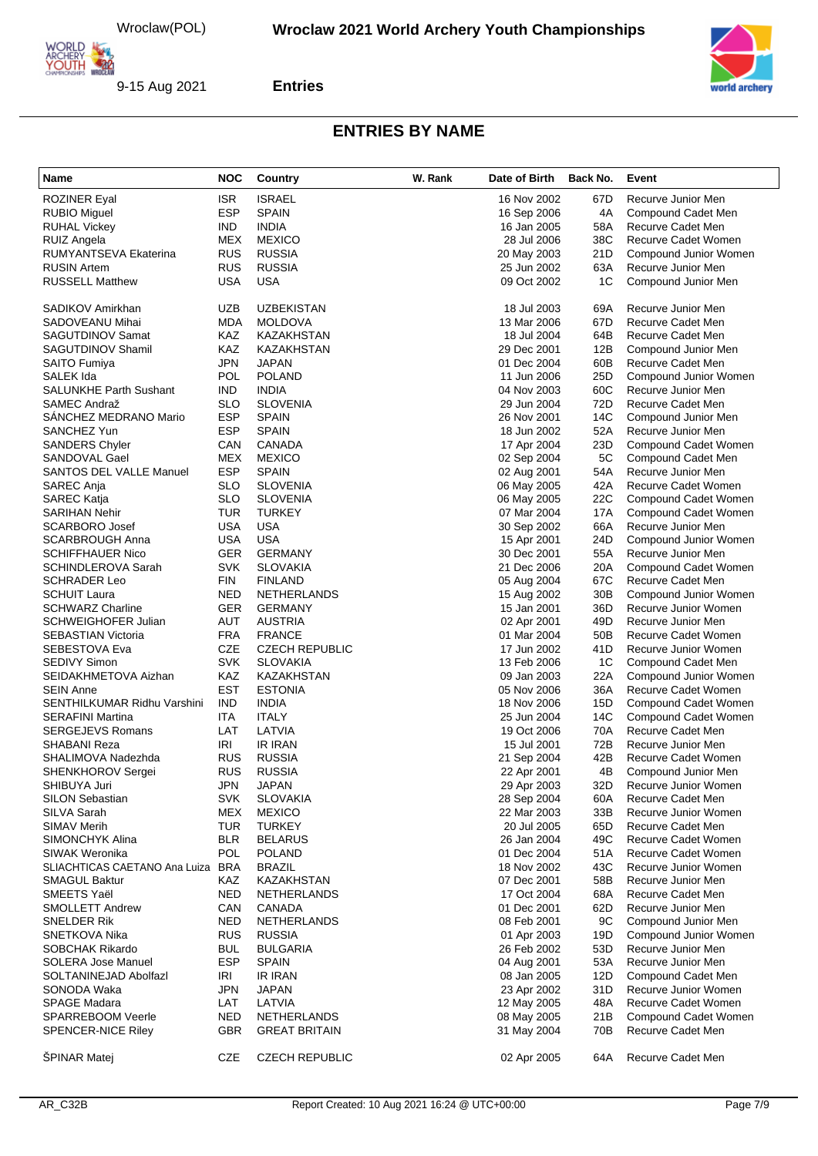

**Entries**

| Name                                       | <b>NOC</b>        | Country                         | W. Rank | Date of Birth              | Back No.               | Event                                     |
|--------------------------------------------|-------------------|---------------------------------|---------|----------------------------|------------------------|-------------------------------------------|
| <b>ROZINER Eyal</b>                        | <b>ISR</b>        | <b>ISRAEL</b>                   |         | 16 Nov 2002                | 67D                    | Recurve Junior Men                        |
| <b>RUBIO Miguel</b>                        | <b>ESP</b>        | <b>SPAIN</b>                    |         | 16 Sep 2006                | 4A                     | Compound Cadet Men                        |
| <b>RUHAL Vickey</b>                        | <b>IND</b>        | <b>INDIA</b>                    |         | 16 Jan 2005                | 58A                    | Recurve Cadet Men                         |
| <b>RUIZ Angela</b>                         | <b>MEX</b>        | <b>MEXICO</b>                   |         | 28 Jul 2006                | 38C                    | Recurve Cadet Women                       |
| RUMYANTSEVA Ekaterina                      | <b>RUS</b>        | <b>RUSSIA</b>                   |         | 20 May 2003                | 21D                    | Compound Junior Women                     |
| <b>RUSIN Artem</b>                         | <b>RUS</b>        | <b>RUSSIA</b>                   |         | 25 Jun 2002                | 63A                    | Recurve Junior Men                        |
| <b>RUSSELL Matthew</b>                     | USA               | <b>USA</b>                      |         | 09 Oct 2002                | 1C                     | Compound Junior Men                       |
| SADIKOV Amirkhan                           | UZB               | <b>UZBEKISTAN</b>               |         | 18 Jul 2003                | 69A                    | Recurve Junior Men                        |
| SADOVEANU Mihai                            | MDA               | <b>MOLDOVA</b>                  |         | 13 Mar 2006                | 67D                    | Recurve Cadet Men                         |
| SAGUTDINOV Samat                           | KAZ               | <b>KAZAKHSTAN</b>               |         | 18 Jul 2004                | 64B                    | Recurve Cadet Men                         |
| <b>SAGUTDINOV Shamil</b>                   | KAZ               | KAZAKHSTAN                      |         | 29 Dec 2001                | 12B                    | Compound Junior Men                       |
| SAITO Fumiya                               | <b>JPN</b>        | <b>JAPAN</b>                    |         | 01 Dec 2004                | 60B                    | Recurve Cadet Men                         |
| SALEK Ida                                  | <b>POL</b>        | <b>POLAND</b>                   |         | 11 Jun 2006                | 25D                    | Compound Junior Women                     |
| <b>SALUNKHE Parth Sushant</b>              | IND               | <b>INDIA</b>                    |         | 04 Nov 2003                | 60C                    | Recurve Junior Men                        |
| SAMEC Andraž                               | SLO               | <b>SLOVENIA</b>                 |         | 29 Jun 2004                | 72D                    | Recurve Cadet Men                         |
| SANCHEZ MEDRANO Mario                      | <b>ESP</b>        | <b>SPAIN</b>                    |         | 26 Nov 2001                | 14C                    | Compound Junior Men                       |
| SANCHEZ Yun                                | <b>ESP</b>        | <b>SPAIN</b>                    |         | 18 Jun 2002                | 52A                    | Recurve Junior Men                        |
| <b>SANDERS Chyler</b>                      | CAN               | CANADA                          |         | 17 Apr 2004                | 23D                    | Compound Cadet Women                      |
| SANDOVAL Gael                              | <b>MEX</b>        | <b>MEXICO</b>                   |         | 02 Sep 2004                | 5C                     | Compound Cadet Men                        |
| <b>SANTOS DEL VALLE Manuel</b>             | <b>ESP</b>        | <b>SPAIN</b>                    |         | 02 Aug 2001                | 54A                    | Recurve Junior Men                        |
| SAREC Anja                                 | SLO               | <b>SLOVENIA</b>                 |         | 06 May 2005                | 42A                    | Recurve Cadet Women                       |
| SAREC Katja                                | <b>SLO</b>        | <b>SLOVENIA</b>                 |         | 06 May 2005                | 22C                    | Compound Cadet Women                      |
| <b>SARIHAN Nehir</b>                       | <b>TUR</b>        | <b>TURKEY</b>                   |         | 07 Mar 2004                | 17A                    | Compound Cadet Women                      |
| <b>SCARBORO Josef</b>                      | USA               | <b>USA</b>                      |         | 30 Sep 2002                | 66A                    | Recurve Junior Men                        |
| <b>SCARBROUGH Anna</b>                     | USA               | <b>USA</b>                      |         | 15 Apr 2001                | 24D                    | Compound Junior Women                     |
| <b>SCHIFFHAUER Nico</b>                    | <b>GER</b>        | <b>GERMANY</b>                  |         | 30 Dec 2001                | 55A                    | Recurve Junior Men                        |
| <b>SCHINDLEROVA Sarah</b>                  | <b>SVK</b>        | <b>SLOVAKIA</b>                 |         | 21 Dec 2006                | 20A                    | Compound Cadet Women                      |
| <b>SCHRADER Leo</b>                        | <b>FIN</b>        | <b>FINLAND</b>                  |         | 05 Aug 2004                | 67C                    | Recurve Cadet Men                         |
| <b>SCHUIT Laura</b>                        | NED               | <b>NETHERLANDS</b>              |         | 15 Aug 2002                | 30 <sub>B</sub>        | Compound Junior Women                     |
| <b>SCHWARZ Charline</b>                    | <b>GER</b>        | <b>GERMANY</b>                  |         | 15 Jan 2001                | 36D                    | Recurve Junior Women                      |
| <b>SCHWEIGHOFER Julian</b>                 | AUT<br><b>FRA</b> | <b>AUSTRIA</b><br><b>FRANCE</b> |         | 02 Apr 2001                | 49D<br>50 <sub>B</sub> | Recurve Junior Men<br>Recurve Cadet Women |
| <b>SEBASTIAN Victoria</b><br>SEBESTOVA Eva | <b>CZE</b>        | <b>CZECH REPUBLIC</b>           |         | 01 Mar 2004<br>17 Jun 2002 | 41 D                   | Recurve Junior Women                      |
| <b>SEDIVY Simon</b>                        | <b>SVK</b>        | <b>SLOVAKIA</b>                 |         | 13 Feb 2006                | 1 <sup>C</sup>         | Compound Cadet Men                        |
| SEIDAKHMETOVA Aizhan                       | <b>KAZ</b>        | <b>KAZAKHSTAN</b>               |         | 09 Jan 2003                | 22A                    | Compound Junior Women                     |
| <b>SEIN Anne</b>                           | <b>EST</b>        | <b>ESTONIA</b>                  |         | 05 Nov 2006                | 36A                    | Recurve Cadet Women                       |
| SENTHILKUMAR Ridhu Varshini                | <b>IND</b>        | <b>INDIA</b>                    |         | 18 Nov 2006                | 15D                    | Compound Cadet Women                      |
| <b>SERAFINI Martina</b>                    | ITA               | <b>ITALY</b>                    |         | 25 Jun 2004                | 14C                    | Compound Cadet Women                      |
| <b>SERGEJEVS Romans</b>                    | LAT               | LATVIA                          |         | 19 Oct 2006                | 70A                    | <b>Recurve Cadet Men</b>                  |
| SHABANI Reza                               | IRI               | <b>IR IRAN</b>                  |         | 15 Jul 2001                | 72B                    | Recurve Junior Men                        |
| SHALIMOVA Nadezhda                         | <b>RUS</b>        | <b>RUSSIA</b>                   |         | 21 Sep 2004                | 42B                    | Recurve Cadet Women                       |
| <b>SHENKHOROV Sergei</b>                   | <b>RUS</b>        | <b>RUSSIA</b>                   |         | 22 Apr 2001                | 4B                     | Compound Junior Men                       |
| SHIBUYA Juri                               | JPN               | <b>JAPAN</b>                    |         | 29 Apr 2003                | 32D                    | Recurve Junior Women                      |
| <b>SILON Sebastian</b>                     | <b>SVK</b>        | <b>SLOVAKIA</b>                 |         | 28 Sep 2004                | 60A                    | Recurve Cadet Men                         |
| SILVA Sarah                                | MEX               | <b>MEXICO</b>                   |         | 22 Mar 2003                | 33B                    | Recurve Junior Women                      |
| SIMAV Merih                                | <b>TUR</b>        | <b>TURKEY</b>                   |         | 20 Jul 2005                | 65D                    | Recurve Cadet Men                         |
| SIMONCHYK Alina                            | <b>BLR</b>        | <b>BELARUS</b>                  |         | 26 Jan 2004                | 49C                    | Recurve Cadet Women                       |
| SIWAK Weronika                             | POL               | <b>POLAND</b>                   |         | 01 Dec 2004                | 51A                    | <b>Recurve Cadet Women</b>                |
| SLIACHTICAS CAETANO Ana Luiza BRA          |                   | <b>BRAZIL</b>                   |         | 18 Nov 2002                | 43C                    | Recurve Junior Women                      |
| <b>SMAGUL Baktur</b>                       | KAZ               | KAZAKHSTAN                      |         | 07 Dec 2001                | 58B                    | Recurve Junior Men                        |
| SMEETS Yaël                                | <b>NED</b>        | NETHERLANDS                     |         | 17 Oct 2004                | 68A                    | Recurve Cadet Men                         |
| <b>SMOLLETT Andrew</b>                     | CAN               | CANADA                          |         | 01 Dec 2001                | 62D                    | Recurve Junior Men                        |
| SNELDER Rik                                | <b>NED</b>        | <b>NETHERLANDS</b>              |         | 08 Feb 2001                | 9C                     | Compound Junior Men                       |
| SNETKOVA Nika                              | <b>RUS</b>        | <b>RUSSIA</b>                   |         | 01 Apr 2003                | 19D                    | Compound Junior Women                     |
| <b>SOBCHAK Rikardo</b>                     | <b>BUL</b>        | <b>BULGARIA</b>                 |         | 26 Feb 2002                | 53D                    | Recurve Junior Men                        |
| SOLERA Jose Manuel                         | <b>ESP</b>        | <b>SPAIN</b>                    |         | 04 Aug 2001                | 53A                    | Recurve Junior Men                        |
| SOLTANINEJAD Abolfazl                      | IRI               | <b>IR IRAN</b>                  |         | 08 Jan 2005                | 12D                    | Compound Cadet Men                        |
| SONODA Waka                                | JPN               | <b>JAPAN</b>                    |         | 23 Apr 2002                | 31 D                   | Recurve Junior Women                      |
| <b>SPAGE Madara</b>                        | LAT               | LATVIA                          |         | 12 May 2005                | 48A                    | Recurve Cadet Women                       |
| <b>SPARREBOOM Veerle</b>                   | NED               | <b>NETHERLANDS</b>              |         | 08 May 2005                | 21B                    | Compound Cadet Women                      |
| <b>SPENCER-NICE Riley</b>                  | <b>GBR</b>        | <b>GREAT BRITAIN</b>            |         | 31 May 2004                | 70B                    | Recurve Cadet Men                         |
| <b>SPINAR Matej</b>                        | CZE               | <b>CZECH REPUBLIC</b>           |         | 02 Apr 2005                | 64A                    | Recurve Cadet Men                         |

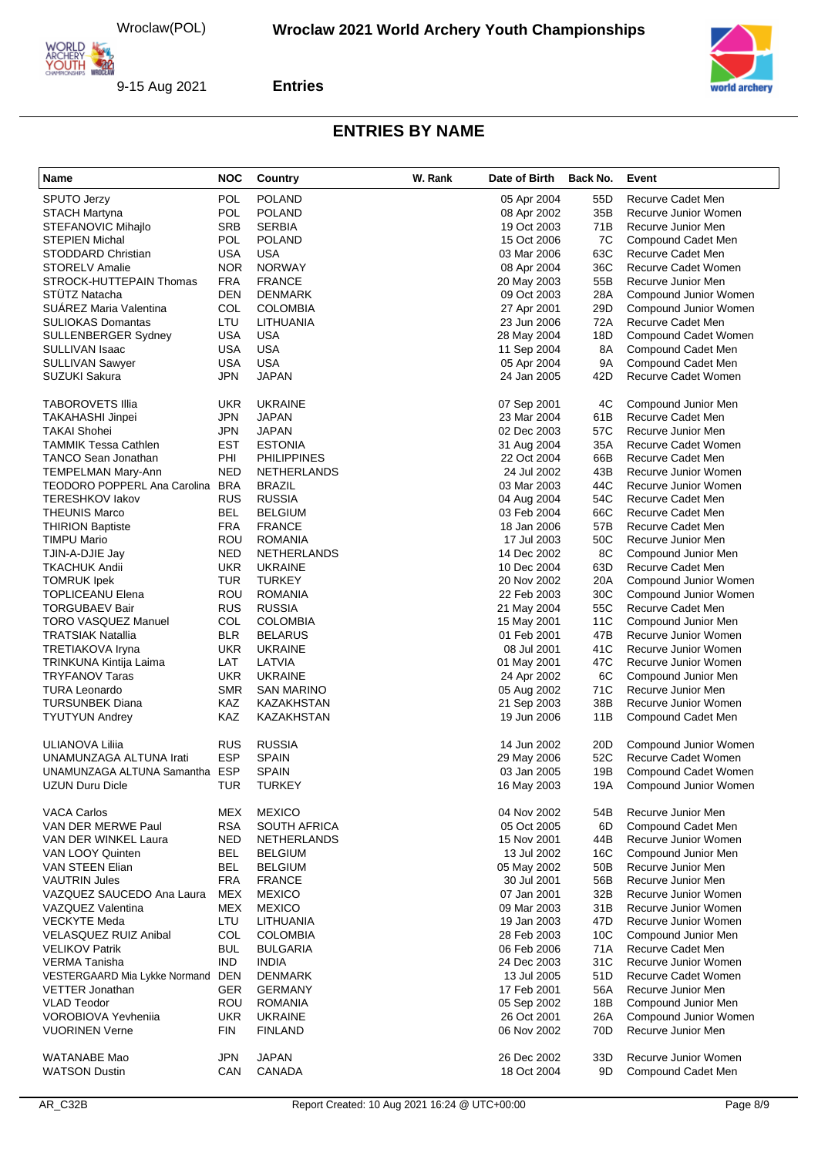

**Entries**

| Name                              | <b>NOC</b> | Country                       | W. Rank | Date of Birth              | Back No.        | Event                      |
|-----------------------------------|------------|-------------------------------|---------|----------------------------|-----------------|----------------------------|
| <b>SPUTO Jerzy</b>                | <b>POL</b> | <b>POLAND</b>                 |         | 05 Apr 2004                | 55 <sub>D</sub> | Recurve Cadet Men          |
| <b>STACH Martyna</b>              | <b>POL</b> | <b>POLAND</b>                 |         | 08 Apr 2002                | 35B             | Recurve Junior Women       |
| STEFANOVIC Mihajlo                | <b>SRB</b> | <b>SERBIA</b>                 |         | 19 Oct 2003                | 71B             | Recurve Junior Men         |
| <b>STEPIEN Michal</b>             | <b>POL</b> | <b>POLAND</b>                 |         | 15 Oct 2006                | 7C              | Compound Cadet Men         |
| STODDARD Christian                | <b>USA</b> | USA                           |         | 03 Mar 2006                | 63C             | Recurve Cadet Men          |
| <b>STORELV Amalie</b>             | <b>NOR</b> | <b>NORWAY</b>                 |         | 08 Apr 2004                | 36C             | Recurve Cadet Women        |
|                                   | <b>FRA</b> | <b>FRANCE</b>                 |         |                            | 55B             | Recurve Junior Men         |
| STROCK-HUTTEPAIN Thomas           | <b>DEN</b> |                               |         | 20 May 2003                |                 |                            |
| <b>STUTZ Natacha</b>              |            | <b>DENMARK</b>                |         | 09 Oct 2003                | 28A             | Compound Junior Women      |
| <b>SUAREZ Maria Valentina</b>     | COL        | <b>COLOMBIA</b>               |         | 27 Apr 2001                | 29D             | Compound Junior Women      |
| <b>SULIOKAS Domantas</b>          | LTU        | LITHUANIA                     |         | 23 Jun 2006                | 72A             | Recurve Cadet Men          |
| SULLENBERGER Sydney               | <b>USA</b> | <b>USA</b>                    |         | 28 May 2004                | 18D             | Compound Cadet Women       |
| SULLIVAN Isaac                    | <b>USA</b> | USA                           |         | 11 Sep 2004                | 8A              | Compound Cadet Men         |
| <b>SULLIVAN Sawyer</b>            | <b>USA</b> | <b>USA</b>                    |         | 05 Apr 2004                | 9A              | Compound Cadet Men         |
| SUZUKI Sakura                     | JPN        | JAPAN                         |         | 24 Jan 2005                | 42D             | Recurve Cadet Women        |
| <b>TABOROVETS Illia</b>           | <b>UKR</b> | <b>UKRAINE</b>                |         | 07 Sep 2001                | 4C              | Compound Junior Men        |
| TAKAHASHI Jinpei                  | <b>JPN</b> | <b>JAPAN</b>                  |         | 23 Mar 2004                | 61B             | Recurve Cadet Men          |
| <b>TAKAI Shohei</b>               | <b>JPN</b> | JAPAN                         |         | 02 Dec 2003                | 57C             | Recurve Junior Men         |
| <b>TAMMIK Tessa Cathlen</b>       | <b>EST</b> | <b>ESTONIA</b>                |         | 31 Aug 2004                | 35A             | <b>Recurve Cadet Women</b> |
| <b>TANCO Sean Jonathan</b>        | PHI        | <b>PHILIPPINES</b>            |         | 22 Oct 2004                | 66B             | Recurve Cadet Men          |
| TEMPELMAN Mary-Ann                | <b>NED</b> | <b>NETHERLANDS</b>            |         | 24 Jul 2002                | 43B             | Recurve Junior Women       |
| TEODORO POPPERL Ana Carolina BRA  |            | <b>BRAZIL</b>                 |         | 03 Mar 2003                | 44C             | Recurve Junior Women       |
|                                   |            |                               |         |                            |                 |                            |
| <b>TERESHKOV lakov</b>            | <b>RUS</b> | <b>RUSSIA</b>                 |         | 04 Aug 2004                | 54C             | Recurve Cadet Men          |
| <b>THEUNIS Marco</b>              | BEL        | <b>BELGIUM</b>                |         | 03 Feb 2004                | 66C             | Recurve Cadet Men          |
| <b>THIRION Baptiste</b>           | <b>FRA</b> | <b>FRANCE</b>                 |         | 18 Jan 2006                | 57B             | Recurve Cadet Men          |
| <b>TIMPU Mario</b>                | ROU        | <b>ROMANIA</b>                |         | 17 Jul 2003                | 50C             | Recurve Junior Men         |
| TJIN-A-DJIE Jay                   | <b>NED</b> | <b>NETHERLANDS</b>            |         | 14 Dec 2002                | 8C              | Compound Junior Men        |
| <b>TKACHUK Andii</b>              | <b>UKR</b> | <b>UKRAINE</b>                |         | 10 Dec 2004                | 63D             | <b>Recurve Cadet Men</b>   |
| <b>TOMRUK Ipek</b>                | <b>TUR</b> | <b>TURKEY</b>                 |         | 20 Nov 2002                | 20A             | Compound Junior Women      |
| <b>TOPLICEANU Elena</b>           | ROU        | <b>ROMANIA</b>                |         | 22 Feb 2003                | 30C             | Compound Junior Women      |
| <b>TORGUBAEV Bair</b>             | <b>RUS</b> | <b>RUSSIA</b>                 |         | 21 May 2004                | 55C             | Recurve Cadet Men          |
| TORO VASQUEZ Manuel               | COL        | <b>COLOMBIA</b>               |         | 15 May 2001                | 11C             | Compound Junior Men        |
| <b>TRATSIAK Natallia</b>          | <b>BLR</b> | <b>BELARUS</b>                |         | 01 Feb 2001                | 47B             | Recurve Junior Women       |
| TRETIAKOVA Iryna                  | <b>UKR</b> | <b>UKRAINE</b>                |         | 08 Jul 2001                | 41C             | Recurve Junior Women       |
| TRINKUNA Kintija Laima            | LAT        | LATVIA                        |         | 01 May 2001                | 47C             | Recurve Junior Women       |
| <b>TRYFANOV Taras</b>             | <b>UKR</b> | <b>UKRAINE</b>                |         | 24 Apr 2002                | 6C              | Compound Junior Men        |
| <b>TURA Leonardo</b>              | <b>SMR</b> | SAN MARINO                    |         | 05 Aug 2002                | 71C             | Recurve Junior Men         |
| <b>TURSUNBEK Diana</b>            | KAZ        | KAZAKHSTAN                    |         | 21 Sep 2003                | 38B             | Recurve Junior Women       |
| <b>TYUTYUN Andrey</b>             | KAZ        | KAZAKHSTAN                    |         | 19 Jun 2006                | 11B             | Compound Cadet Men         |
|                                   |            |                               |         |                            |                 |                            |
| ULIANOVA Liliia                   | <b>RUS</b> | <b>RUSSIA</b>                 |         | 14 Jun 2002                | 20D             | Compound Junior Women      |
| UNAMUNZAGA ALTUNA Irati           | <b>ESP</b> | <b>SPAIN</b>                  |         | 29 May 2006                | 52C             | Recurve Cadet Women        |
| UNAMUNZAGA ALTUNA Samantha ESP    |            | <b>SPAIN</b>                  |         | 03 Jan 2005                | 19B             | Compound Cadet Women       |
| UZUN Duru Dicle                   | TUR        | TURKEY                        |         | 16 May 2003                | 19A             | Compound Junior Women      |
| <b>VACA Carlos</b>                | MEX        | <b>MEXICO</b>                 |         | 04 Nov 2002                | 54B             | Recurve Junior Men         |
| VAN DER MERWE Paul                | <b>RSA</b> | SOUTH AFRICA                  |         | 05 Oct 2005                | 6D              | Compound Cadet Men         |
| VAN DER WINKEL Laura              | NED        | <b>NETHERLANDS</b>            |         | 15 Nov 2001                | 44B             | Recurve Junior Women       |
| VAN LOOY Quinten                  | BEL        | <b>BELGIUM</b>                |         | 13 Jul 2002                | 16C             | Compound Junior Men        |
| VAN STEEN Elian                   | BEL        | <b>BELGIUM</b>                |         |                            | 50 <sub>B</sub> |                            |
|                                   |            |                               |         | 05 May 2002<br>30 Jul 2001 |                 | Recurve Junior Men         |
| <b>VAUTRIN Jules</b>              | <b>FRA</b> | <b>FRANCE</b>                 |         |                            | 56B             | Recurve Junior Men         |
| VAZQUEZ SAUCEDO Ana Laura         | <b>MEX</b> | <b>MEXICO</b>                 |         | 07 Jan 2001                | 32B             | Recurve Junior Women       |
| <b>VAZQUEZ Valentina</b>          | <b>MEX</b> | <b>MEXICO</b>                 |         | 09 Mar 2003                | 31B             | Recurve Junior Women       |
| <b>VECKYTE Meda</b>               | LTU        | LITHUANIA                     |         | 19 Jan 2003                | 47D             | Recurve Junior Women       |
| <b>VELASQUEZ RUIZ Anibal</b>      | COL        | <b>COLOMBIA</b>               |         | 28 Feb 2003                | 10 <sub>C</sub> | Compound Junior Men        |
| <b>VELIKOV Patrik</b>             | <b>BUL</b> | <b>BULGARIA</b>               |         | 06 Feb 2006                | 71A             | Recurve Cadet Men          |
| <b>VERMA Tanisha</b>              | <b>IND</b> | <b>INDIA</b>                  |         | 24 Dec 2003                | 31C             | Recurve Junior Women       |
| VESTERGAARD Mia Lykke Normand DEN |            | <b>DENMARK</b>                |         | 13 Jul 2005                | 51D             | Recurve Cadet Women        |
| <b>VETTER Jonathan</b>            | GER        | <b>GERMANY</b>                |         | 17 Feb 2001                | 56A             | Recurve Junior Men         |
| <b>VLAD Teodor</b>                | ROU        | <b>ROMANIA</b>                |         | 05 Sep 2002                | 18B             | Compound Junior Men        |
| <b>VOROBIOVA Yevhenija</b>        | <b>UKR</b> | <b>UKRAINE</b>                |         | 26 Oct 2001                | 26A             | Compound Junior Women      |
| <b>VUORINEN Verne</b>             | <b>FIN</b> | <b>FINLAND</b>                |         | 06 Nov 2002                | 70D             | Recurve Junior Men         |
| <b>WATANABE Mao</b>               |            |                               |         |                            |                 | Recurve Junior Women       |
| <b>WATSON Dustin</b>              | JPN<br>CAN | <b>JAPAN</b><br><b>CANADA</b> |         | 26 Dec 2002<br>18 Oct 2004 | 33D<br>9D       | Compound Cadet Men         |
|                                   |            |                               |         |                            |                 |                            |
|                                   |            |                               |         |                            |                 |                            |